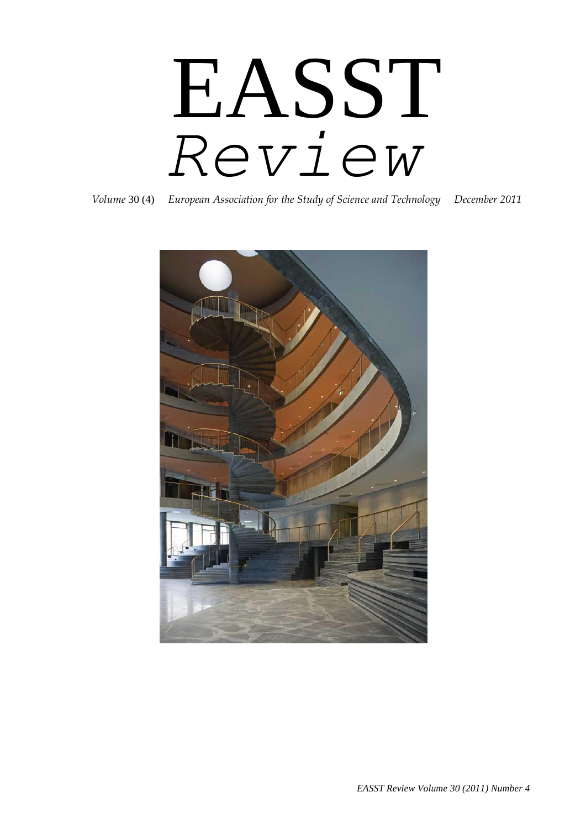# EASST *Review*

*Volume* 30 (4) *European Association for the Study of Science and Technology December 2011*

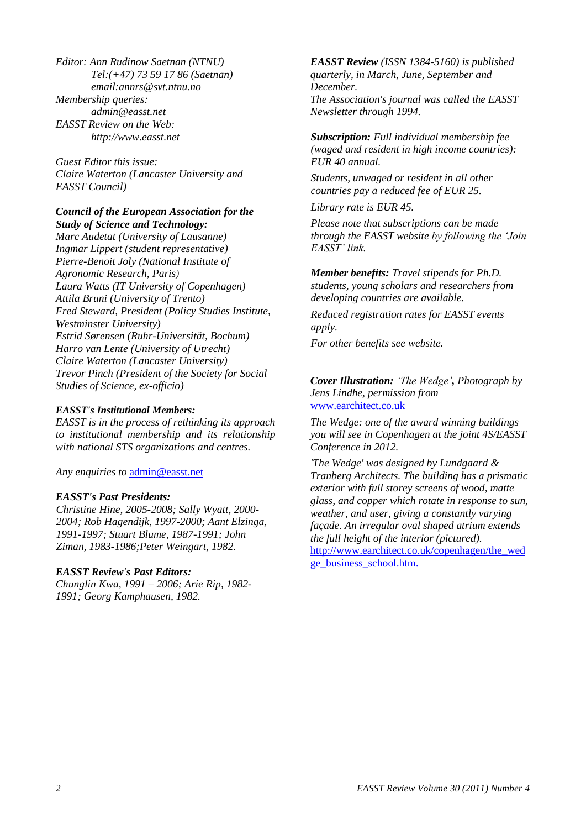*Editor: Ann Rudinow Saetnan (NTNU) Tel:(+47) 73 59 17 86 (Saetnan) email:annrs@svt.ntnu.no Membership queries: admin@easst.net EASST Review on the Web: http://www.easst.net*

*Guest Editor this issue: Claire Waterton (Lancaster University and EASST Council)*

#### *Council of the European Association for the Study of Science and Technology:*

*Marc Audetat (University of Lausanne) Ingmar Lippert (student representative) Pierre-Benoit Joly (National Institute of Agronomic Research, Paris) Laura Watts (IT University of Copenhagen) Attila Bruni (University of Trento) Fred Steward, President (Policy Studies Institute, Westminster University) Estrid Sørensen (Ruhr-Universität, Bochum) Harro van Lente (University of Utrecht) Claire Waterton (Lancaster University) Trevor Pinch (President of the Society for Social Studies of Science, ex-officio)* 

#### *EASST's Institutional Members:*

*EASST is in the process of rethinking its approach to institutional membership and its relationship with national STS organizations and centres.*

*Any enquiries to* [admin@easst.net](mailto:admin@easst.net)

#### *EASST's Past Presidents:*

*Christine Hine, 2005-2008; Sally Wyatt, 2000- 2004; Rob Hagendijk, 1997-2000; Aant Elzinga, 1991-1997; Stuart Blume, 1987-1991; John Ziman, 1983-1986;Peter Weingart, 1982.* 

#### *EASST Review's Past Editors:*

*Chunglin Kwa, 1991 – 2006; Arie Rip, 1982- 1991; Georg Kamphausen, 1982.*

*EASST Review (ISSN 1384-5160) is published quarterly, in March, June, September and December. The Association's journal was called the EASST Newsletter through 1994.* 

*Subscription: Full individual membership fee (waged and resident in high income countries): EUR 40 annual.* 

*Students, unwaged or resident in all other countries pay a reduced fee of EUR 25.* 

*Library rate is EUR 45.* 

*Please note that subscriptions can be made through the EASST website by following the 'Join EASST' link.*

*Member benefits: Travel stipends for Ph.D. students, young scholars and researchers from developing countries are available.* 

*Reduced registration rates for EASST events apply.* 

*For other benefits see website.*

*Cover Illustration: 'The Wedge', Photograph by Jens Lindhe, permission from*  [www.earchitect.co.uk](http://www.earchitect.co.uk/)

*The Wedge: one of the award winning buildings you will see in Copenhagen at the joint 4S/EASST Conference in 2012.*

*'The Wedge' was designed by Lundgaard & Tranberg Architects. The building has a prismatic exterior with full storey screens of wood, matte glass, and copper which rotate in response to sun, weather, and user, giving a constantly varying façade. An irregular oval shaped atrium extends the full height of the interior (pictured).* [http://www.earchitect.co.uk/copenhagen/the\\_wed](http://www.earchitect.co.uk/copenhagen/the_wedge_business_school.htm) [ge\\_business\\_school.htm.](http://www.earchitect.co.uk/copenhagen/the_wedge_business_school.htm)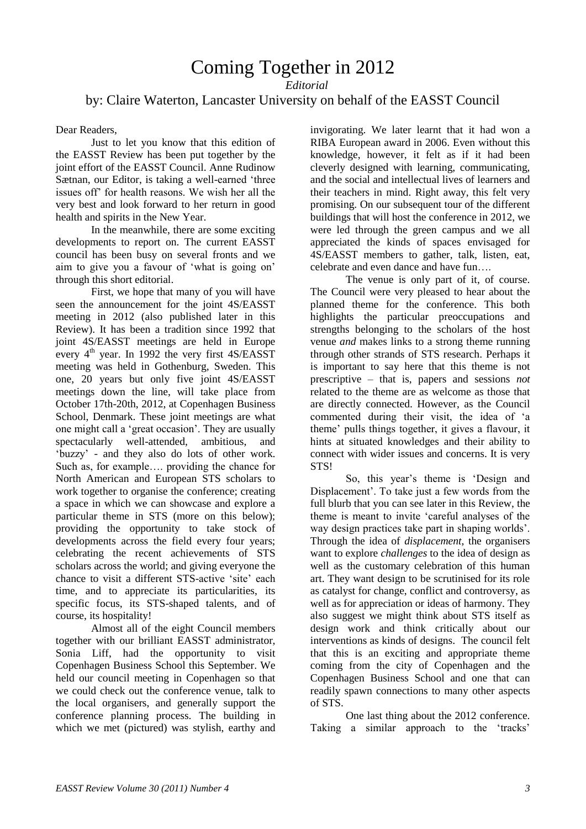## Coming Together in 2012

*Editorial*

by: Claire Waterton, Lancaster University on behalf of the EASST Council

#### Dear Readers,

Just to let you know that this edition of the EASST Review has been put together by the joint effort of the EASST Council. Anne Rudinow Sætnan, our Editor, is taking a well-earned "three issues off" for health reasons. We wish her all the very best and look forward to her return in good health and spirits in the New Year.

In the meanwhile, there are some exciting developments to report on. The current EASST council has been busy on several fronts and we aim to give you a favour of "what is going on" through this short editorial.

First, we hope that many of you will have seen the announcement for the joint 4S/EASST meeting in 2012 (also published later in this Review). It has been a tradition since 1992 that joint 4S/EASST meetings are held in Europe every 4<sup>th</sup> year. In 1992 the very first 4S/EASST meeting was held in Gothenburg, Sweden. This one, 20 years but only five joint 4S/EASST meetings down the line, will take place from October 17th-20th, 2012, at Copenhagen Business School, Denmark. These joint meetings are what one might call a "great occasion". They are usually spectacularly well-attended, ambitious, and "buzzy" - and they also do lots of other work. Such as, for example…. providing the chance for North American and European STS scholars to work together to organise the conference; creating a space in which we can showcase and explore a particular theme in STS (more on this below); providing the opportunity to take stock of developments across the field every four years; celebrating the recent achievements of STS scholars across the world; and giving everyone the chance to visit a different STS-active 'site' each time, and to appreciate its particularities, its specific focus, its STS-shaped talents, and of course, its hospitality!

Almost all of the eight Council members together with our brilliant EASST administrator, Sonia Liff, had the opportunity to visit Copenhagen Business School this September. We held our council meeting in Copenhagen so that we could check out the conference venue, talk to the local organisers, and generally support the conference planning process. The building in which we met (pictured) was stylish, earthy and invigorating. We later learnt that it had won a RIBA European award in 2006. Even without this knowledge, however, it felt as if it had been cleverly designed with learning, communicating, and the social and intellectual lives of learners and their teachers in mind. Right away, this felt very promising. On our subsequent tour of the different buildings that will host the conference in 2012, we were led through the green campus and we all appreciated the kinds of spaces envisaged for 4S/EASST members to gather, talk, listen, eat, celebrate and even dance and have fun….

The venue is only part of it, of course. The Council were very pleased to hear about the planned theme for the conference. This both highlights the particular preoccupations and strengths belonging to the scholars of the host venue *and* makes links to a strong theme running through other strands of STS research. Perhaps it is important to say here that this theme is not prescriptive – that is, papers and sessions *not* related to the theme are as welcome as those that are directly connected. However, as the Council commented during their visit, the idea of "a theme" pulls things together, it gives a flavour, it hints at situated knowledges and their ability to connect with wider issues and concerns. It is very STS!

So, this year"s theme is "Design and Displacement'. To take just a few words from the full blurb that you can see later in this Review, the theme is meant to invite "careful analyses of the way design practices take part in shaping worlds". Through the idea of *displacement*, the organisers want to explore *challenges* to the idea of design as well as the customary celebration of this human art. They want design to be scrutinised for its role as catalyst for change, conflict and controversy, as well as for appreciation or ideas of harmony. They also suggest we might think about STS itself as design work and think critically about our interventions as kinds of designs. The council felt that this is an exciting and appropriate theme coming from the city of Copenhagen and the Copenhagen Business School and one that can readily spawn connections to many other aspects of STS.

One last thing about the 2012 conference. Taking a similar approach to the 'tracks'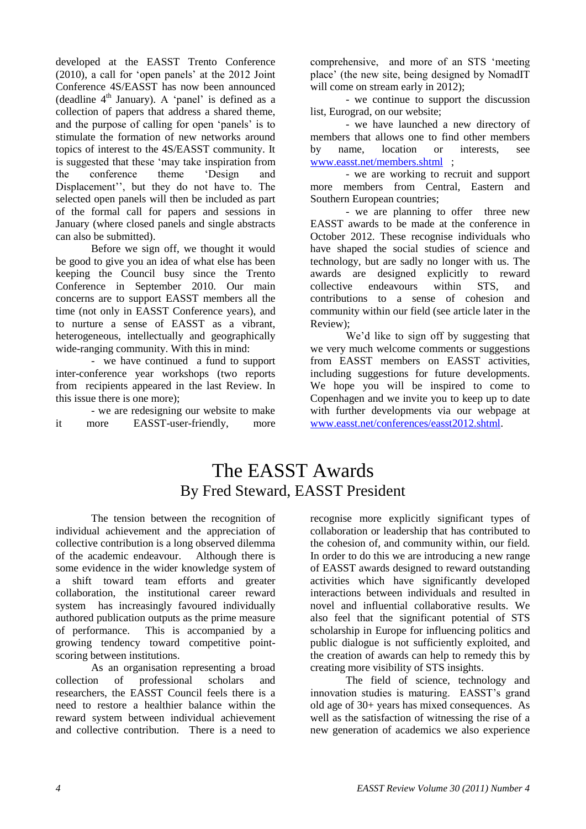developed at the EASST Trento Conference (2010), a call for "open panels" at the 2012 Joint Conference 4S/EASST has now been announced (deadline  $4<sup>th</sup>$  January). A 'panel' is defined as a collection of papers that address a shared theme, and the purpose of calling for open "panels" is to stimulate the formation of new networks around topics of interest to the 4S/EASST community. It is suggested that these "may take inspiration from the conference theme "Design and Displacement", but they do not have to. The selected open panels will then be included as part of the formal call for papers and sessions in January (where closed panels and single abstracts can also be submitted).

Before we sign off, we thought it would be good to give you an idea of what else has been keeping the Council busy since the Trento Conference in September 2010. Our main concerns are to support EASST members all the time (not only in EASST Conference years), and to nurture a sense of EASST as a vibrant, heterogeneous, intellectually and geographically wide-ranging community. With this in mind:

- we have continued a fund to support inter-conference year workshops (two reports from recipients appeared in the last Review. In this issue there is one more);

- we are redesigning our website to make it more EASST-user-friendly, more

comprehensive, and more of an STS "meeting place" (the new site, being designed by NomadIT will come on stream early in 2012);

- we continue to support the discussion list, Eurograd, on our website;

- we have launched a new directory of members that allows one to find other members by name, location or interests, see [www.easst.net/members.shtml](http://www.easst.net/members.shtml) ;

- we are working to recruit and support more members from Central, Eastern and Southern European countries;

- we are planning to offer three new EASST awards to be made at the conference in October 2012. These recognise individuals who have shaped the social studies of science and technology, but are sadly no longer with us. The awards are designed explicitly to reward collective endeavours within STS, and contributions to a sense of cohesion and community within our field (see article later in the Review);

We'd like to sign off by suggesting that we very much welcome comments or suggestions from EASST members on EASST activities, including suggestions for future developments. We hope you will be inspired to come to Copenhagen and we invite you to keep up to date with further developments via our webpage at [www.easst.net/conferences/easst2012.shtml.](http://www.easst.net/conferences/easst2012.shtml)

## The EASST Awards By Fred Steward, EASST President

The tension between the recognition of individual achievement and the appreciation of collective contribution is a long observed dilemma of the academic endeavour. Although there is some evidence in the wider knowledge system of a shift toward team efforts and greater collaboration, the institutional career reward system has increasingly favoured individually authored publication outputs as the prime measure of performance. This is accompanied by a growing tendency toward competitive pointscoring between institutions.

As an organisation representing a broad collection of professional scholars and researchers, the EASST Council feels there is a need to restore a healthier balance within the reward system between individual achievement and collective contribution. There is a need to

recognise more explicitly significant types of collaboration or leadership that has contributed to the cohesion of, and community within, our field. In order to do this we are introducing a new range of EASST awards designed to reward outstanding activities which have significantly developed interactions between individuals and resulted in novel and influential collaborative results. We also feel that the significant potential of STS scholarship in Europe for influencing politics and public dialogue is not sufficiently exploited, and the creation of awards can help to remedy this by creating more visibility of STS insights.

The field of science, technology and innovation studies is maturing. EASST"s grand old age of 30+ years has mixed consequences. As well as the satisfaction of witnessing the rise of a new generation of academics we also experience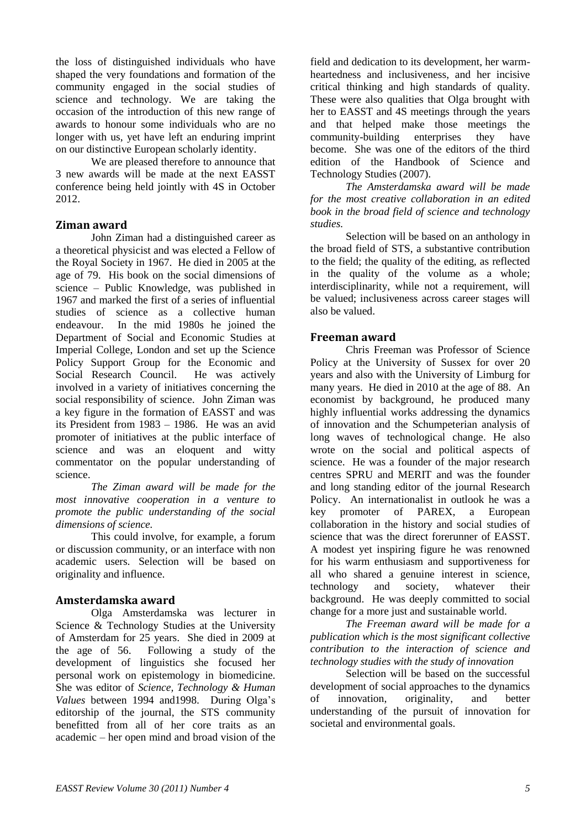the loss of distinguished individuals who have shaped the very foundations and formation of the community engaged in the social studies of science and technology. We are taking the occasion of the introduction of this new range of awards to honour some individuals who are no longer with us, yet have left an enduring imprint on our distinctive European scholarly identity.

We are pleased therefore to announce that 3 new awards will be made at the next EASST conference being held jointly with 4S in October 2012.

#### **Ziman award**

John Ziman had a distinguished career as a theoretical physicist and was elected a Fellow of the Royal Society in 1967. He died in 2005 at the age of 79. His book on the social dimensions of science – Public Knowledge, was published in 1967 and marked the first of a series of influential studies of science as a collective human endeavour. In the mid 1980s he joined the Department of Social and Economic Studies at Imperial College, London and set up the Science Policy Support Group for the Economic and Social Research Council. He was actively involved in a variety of initiatives concerning the social responsibility of science. John Ziman was a key figure in the formation of EASST and was its President from 1983 – 1986. He was an avid promoter of initiatives at the public interface of science and was an eloquent and witty commentator on the popular understanding of science.

*The Ziman award will be made for the most innovative cooperation in a venture to promote the public understanding of the social dimensions of science.* 

This could involve, for example, a forum or discussion community, or an interface with non academic users. Selection will be based on originality and influence.

### **Amsterdamska award**

Olga Amsterdamska was lecturer in Science & Technology Studies at the University of Amsterdam for 25 years. She died in 2009 at the age of 56. Following a study of the development of linguistics she focused her personal work on epistemology in biomedicine. She was editor of *Science, Technology & Human Values* between 1994 and1998. During Olga"s editorship of the journal, the STS community benefitted from all of her core traits as an academic – her open mind and broad vision of the

field and dedication to its development, her warmheartedness and inclusiveness, and her incisive critical thinking and high standards of quality. These were also qualities that Olga brought with her to EASST and 4S meetings through the years and that helped make those meetings the community-building enterprises they have become. She was one of the editors of the third edition of the Handbook of Science and Technology Studies (2007).

*The Amsterdamska award will be made for the most creative collaboration in an edited book in the broad field of science and technology studies.*

Selection will be based on an anthology in the broad field of STS, a substantive contribution to the field; the quality of the editing, as reflected in the quality of the volume as a whole; interdisciplinarity, while not a requirement, will be valued; inclusiveness across career stages will also be valued.

#### **Freeman award**

Chris Freeman was Professor of Science Policy at the University of Sussex for over 20 years and also with the University of Limburg for many years. He died in 2010 at the age of 88. An economist by background, he produced many highly influential works addressing the dynamics of innovation and the Schumpeterian analysis of long waves of technological change. He also wrote on the social and political aspects of science. He was a founder of the major research centres SPRU and MERIT and was the founder and long standing editor of the journal Research Policy. An internationalist in outlook he was a key promoter of PAREX, a European collaboration in the history and social studies of science that was the direct forerunner of EASST. A modest yet inspiring figure he was renowned for his warm enthusiasm and supportiveness for all who shared a genuine interest in science, technology and society, whatever their background. He was deeply committed to social change for a more just and sustainable world.

*The Freeman award will be made for a publication which is the most significant collective contribution to the interaction of science and technology studies with the study of innovation* 

Selection will be based on the successful development of social approaches to the dynamics of innovation, originality, and better understanding of the pursuit of innovation for societal and environmental goals.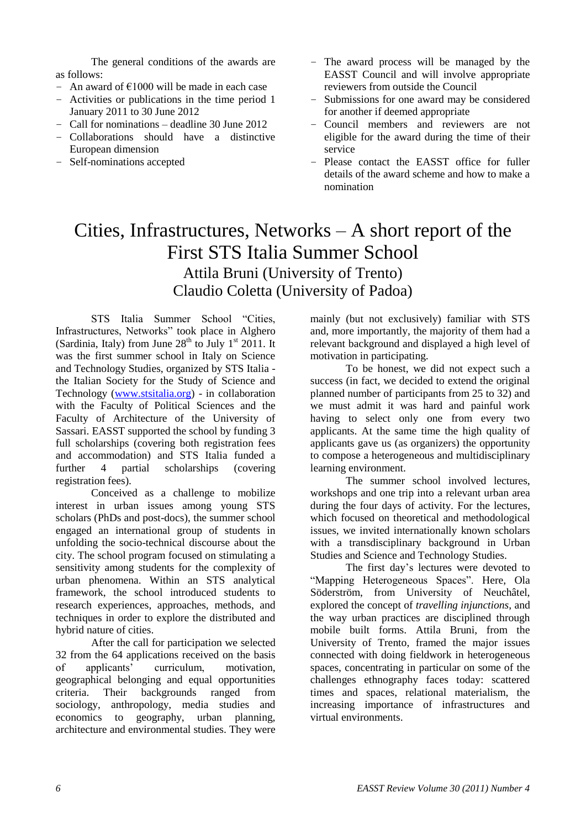The general conditions of the awards are as follows:

- An award of  $\epsilon$ 1000 will be made in each case
- Activities or publications in the time period 1 January 2011 to 30 June 2012
- Call for nominations deadline 30 June 2012
- Collaborations should have a distinctive European dimension
- Self-nominations accepted
- The award process will be managed by the EASST Council and will involve appropriate reviewers from outside the Council
- Submissions for one award may be considered for another if deemed appropriate
- Council members and reviewers are not eligible for the award during the time of their service
- Please contact the EASST office for fuller details of the award scheme and how to make a nomination

## Cities, Infrastructures, Networks – A short report of the First STS Italia Summer School Attila Bruni (University of Trento) Claudio Coletta (University of Padoa)

STS Italia Summer School "Cities, Infrastructures, Networks" took place in Alghero (Sardinia, Italy) from June  $28<sup>th</sup>$  to July  $1<sup>st</sup>$  2011. It was the first summer school in Italy on Science and Technology Studies, organized by STS Italia the Italian Society for the Study of Science and Technology [\(www.stsitalia.org\)](http://www.stsitalia.org/) - in collaboration with the Faculty of Political Sciences and the Faculty of Architecture of the University of Sassari. EASST supported the school by funding 3 full scholarships (covering both registration fees and accommodation) and STS Italia funded a further 4 partial scholarships (covering registration fees).

Conceived as a challenge to mobilize interest in urban issues among young STS scholars (PhDs and post-docs), the summer school engaged an international group of students in unfolding the socio-technical discourse about the city. The school program focused on stimulating a sensitivity among students for the complexity of urban phenomena. Within an STS analytical framework, the school introduced students to research experiences, approaches, methods, and techniques in order to explore the distributed and hybrid nature of cities.

After the call for participation we selected 32 from the 64 applications received on the basis of applicants" curriculum, motivation, geographical belonging and equal opportunities criteria. Their backgrounds ranged from sociology, anthropology, media studies and economics to geography, urban planning, architecture and environmental studies. They were

mainly (but not exclusively) familiar with STS and, more importantly, the majority of them had a relevant background and displayed a high level of motivation in participating.

To be honest, we did not expect such a success (in fact, we decided to extend the original planned number of participants from 25 to 32) and we must admit it was hard and painful work having to select only one from every two applicants. At the same time the high quality of applicants gave us (as organizers) the opportunity to compose a heterogeneous and multidisciplinary learning environment.

The summer school involved lectures, workshops and one trip into a relevant urban area during the four days of activity. For the lectures, which focused on theoretical and methodological issues, we invited internationally known scholars with a transdisciplinary background in Urban Studies and Science and Technology Studies.

The first day"s lectures were devoted to "Mapping Heterogeneous Spaces". Here, Ola Söderström, from University of Neuchâtel, explored the concept of *travelling injunctions*, and the way urban practices are disciplined through mobile built forms. Attila Bruni, from the University of Trento, framed the major issues connected with doing fieldwork in heterogeneous spaces, concentrating in particular on some of the challenges ethnography faces today: scattered times and spaces, relational materialism, the increasing importance of infrastructures and virtual environments.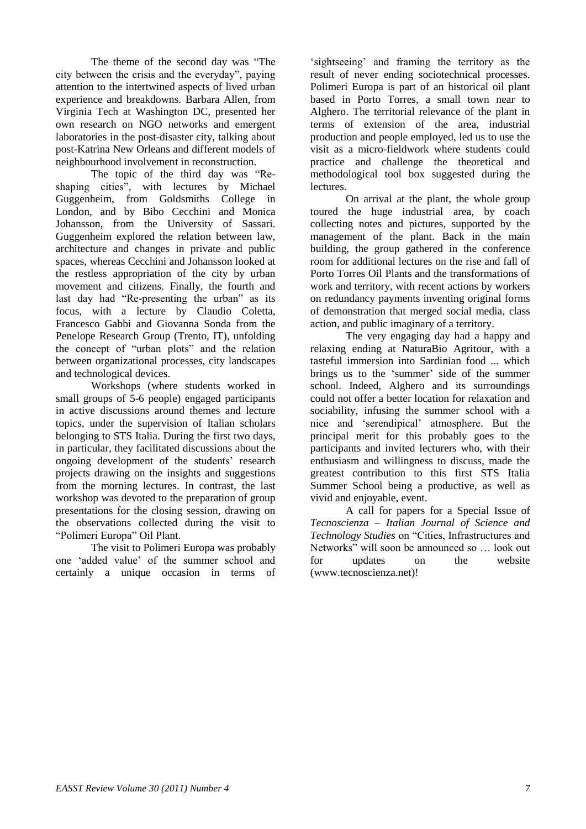The theme of the second day was "The city between the crisis and the everyday", paying attention to the intertwined aspects of lived urban experience and breakdowns. Barbara Allen, from Virginia Tech at Washington DC, presented her own research on NGO networks and emergent laboratories in the post-disaster city, talking about post-Katrina New Orleans and different models of neighbourhood involvement in reconstruction.

The topic of the third day was "Reshaping cities", with lectures by Michael Guggenheim, from Goldsmiths College in London, and by Bibo Cecchini and Monica Johansson, from the University of Sassari. Guggenheim explored the relation between law, architecture and changes in private and public spaces, whereas Cecchini and Johansson looked at the restless appropriation of the city by urban movement and citizens. Finally, the fourth and last day had "Re-presenting the urban" as its focus, with a lecture by Claudio Coletta, Francesco Gabbi and Giovanna Sonda from the Penelope Research Group (Trento, IT), unfolding the concept of "urban plots" and the relation between organizational processes, city landscapes and technological devices.

Workshops (where students worked in small groups of 5-6 people) engaged participants in active discussions around themes and lecture topics, under the supervision of Italian scholars belonging to STS Italia. During the first two days, in particular, they facilitated discussions about the ongoing development of the students" research projects drawing on the insights and suggestions from the morning lectures. In contrast, the last workshop was devoted to the preparation of group presentations for the closing session, drawing on the observations collected during the visit to "Polimeri Europa" Oil Plant.

The visit to Polimeri Europa was probably one "added value" of the summer school and certainly a unique occasion in terms of

"sightseeing" and framing the territory as the result of never ending sociotechnical processes. Polimeri Europa is part of an historical oil plant based in Porto Torres, a small town near to Alghero. The territorial relevance of the plant in terms of extension of the area, industrial production and people employed, led us to use the visit as a micro-fieldwork where students could practice and challenge the theoretical and methodological tool box suggested during the lectures.

On arrival at the plant, the whole group toured the huge industrial area, by coach collecting notes and pictures, supported by the management of the plant. Back in the main building, the group gathered in the conference room for additional lectures on the rise and fall of Porto Torres Oil Plants and the transformations of work and territory, with recent actions by workers on redundancy payments inventing original forms of demonstration that merged social media, class action, and public imaginary of a territory.

The very engaging day had a happy and relaxing ending at NaturaBio Agritour, with a tasteful immersion into Sardinian food ... which brings us to the 'summer' side of the summer school. Indeed, Alghero and its surroundings could not offer a better location for relaxation and sociability, infusing the summer school with a nice and "serendipical" atmosphere. But the principal merit for this probably goes to the participants and invited lecturers who, with their enthusiasm and willingness to discuss, made the greatest contribution to this first STS Italia Summer School being a productive, as well as vivid and enjoyable, event.

A call for papers for a Special Issue of *Tecnoscienza – Italian Journal of Science and Technology Studies* on "Cities, Infrastructures and Networks" will soon be announced so … look out for updates on the website (www.tecnoscienza.net)!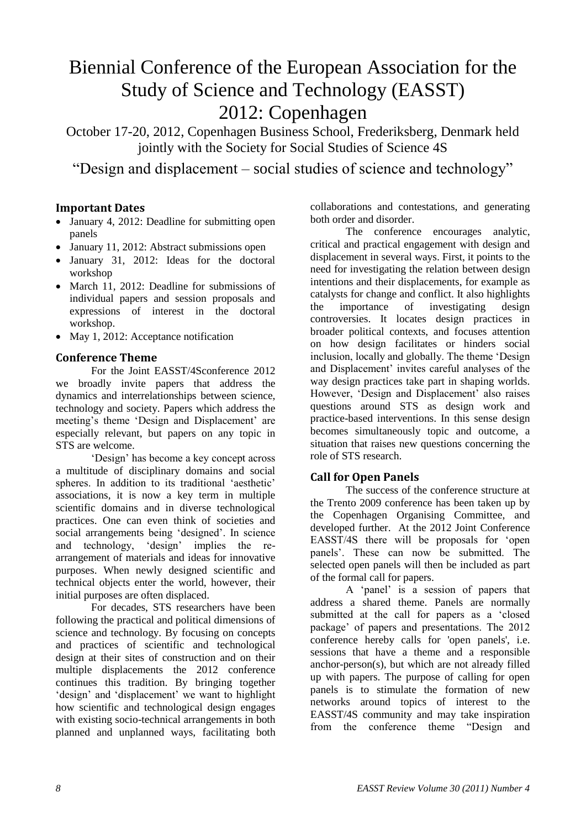## Biennial Conference of the European Association for the Study of Science and Technology (EASST) 2012: Copenhagen

October 17-20, 2012, Copenhagen Business School, Frederiksberg, Denmark held jointly with the Society for Social Studies of Science 4S

"Design and displacement – social studies of science and technology"

#### **Important Dates**

- January 4, 2012: Deadline for submitting open panels
- January 11, 2012: Abstract submissions open
- January 31, 2012: Ideas for the doctoral workshop
- March 11, 2012: Deadline for submissions of individual papers and session proposals and expressions of interest in the doctoral workshop.
- May 1, 2012: Acceptance notification

### **Conference Theme**

For the Joint EASST/4Sconference 2012 we broadly invite papers that address the dynamics and interrelationships between science, technology and society. Papers which address the meeting's theme 'Design and Displacement' are especially relevant, but papers on any topic in STS are welcome.

"Design" has become a key concept across a multitude of disciplinary domains and social spheres. In addition to its traditional 'aesthetic' associations, it is now a key term in multiple scientific domains and in diverse technological practices. One can even think of societies and social arrangements being 'designed'. In science and technology, "design" implies the rearrangement of materials and ideas for innovative purposes. When newly designed scientific and technical objects enter the world, however, their initial purposes are often displaced.

For decades, STS researchers have been following the practical and political dimensions of science and technology. By focusing on concepts and practices of scientific and technological design at their sites of construction and on their multiple displacements the 2012 conference continues this tradition. By bringing together 'design' and 'displacement' we want to highlight how scientific and technological design engages with existing socio-technical arrangements in both planned and unplanned ways, facilitating both collaborations and contestations, and generating both order and disorder.

The conference encourages analytic, critical and practical engagement with design and displacement in several ways. First, it points to the need for investigating the relation between design intentions and their displacements, for example as catalysts for change and conflict. It also highlights the importance of investigating design controversies. It locates design practices in broader political contexts, and focuses attention on how design facilitates or hinders social inclusion, locally and globally. The theme "Design and Displacement' invites careful analyses of the way design practices take part in shaping worlds. However, 'Design and Displacement' also raises questions around STS as design work and practice-based interventions. In this sense design becomes simultaneously topic and outcome, a situation that raises new questions concerning the role of STS research.

### **Call for Open Panels**

The success of the conference structure at the Trento 2009 conference has been taken up by the Copenhagen Organising Committee, and developed further. At the 2012 Joint Conference EASST/4S there will be proposals for "open panels". These can now be submitted. The selected open panels will then be included as part of the formal call for papers.

A "panel" is a session of papers that address a shared theme. Panels are normally submitted at the call for papers as a "closed package" of papers and presentations. The 2012 conference hereby calls for 'open panels', i.e. sessions that have a theme and a responsible anchor-person(s), but which are not already filled up with papers. The purpose of calling for open panels is to stimulate the formation of new networks around topics of interest to the EASST/4S community and may take inspiration from the conference theme "Design and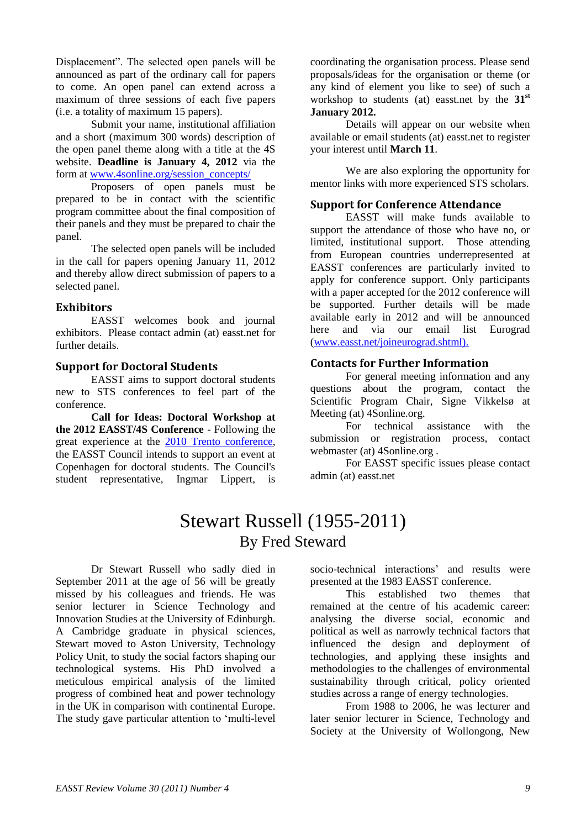Displacement". The selected open panels will be announced as part of the ordinary call for papers to come. An open panel can extend across a maximum of three sessions of each five papers (i.e. a totality of maximum 15 papers).

Submit your name, institutional affiliation and a short (maximum 300 words) description of the open panel theme along with a title at the 4S website. **Deadline is January 4, 2012** via the form at [www.4sonline.org/session\\_concepts/](http://www.4sonline.org/session_concepts/)

Proposers of open panels must be prepared to be in contact with the scientific program committee about the final composition of their panels and they must be prepared to chair the panel.

The selected open panels will be included in the call for papers opening January 11, 2012 and thereby allow direct submission of papers to a selected panel.

#### **Exhibitors**

EASST welcomes book and journal exhibitors. Please contact admin (at) easst.net for further details.

#### **Support for Doctoral Students**

EASST aims to support doctoral students new to STS conferences to feel part of the conference.

**Call for Ideas: Doctoral Workshop at the 2012 EASST/4S Conference** - Following the great experience at the [2010 Trento conference,](http://events.unitn.it/sites/events.unitn.it/files/download/easst010/EASST%20preconference%20PhD%202010%20program%20v2.pdf) the EASST Council intends to support an event at Copenhagen for doctoral students. The Council's student representative, Ingmar Lippert, is

coordinating the organisation process. Please send proposals/ideas for the organisation or theme (or any kind of element you like to see) of such a workshop to students (at) easst.net by the **31st January 2012.**

Details will appear on our website when available or email students (at) easst.net to register your interest until **March 11**.

We are also exploring the opportunity for mentor links with more experienced STS scholars.

#### **Support for Conference Attendance**

EASST will make funds available to support the attendance of those who have no, or limited, institutional support. Those attending from European countries underrepresented at EASST conferences are particularly invited to apply for conference support. Only participants with a paper accepted for the 2012 conference will be supported. Further details will be made available early in 2012 and will be announced here and via our email list Eurograd (www.easst.net/joineurograd.shtml).

#### **Contacts for Further Information**

For general meeting information and any questions about the program, contact the Scientific Program Chair, Signe Vikkelsø at Meeting (at) 4Sonline.org.

For technical assistance with the submission or registration process, contact webmaster (at) 4Sonline.org .

For EASST specific issues please contact admin (at) easst.net

## Stewart Russell (1955-2011) By Fred Steward

Dr Stewart Russell who sadly died in September 2011 at the age of 56 will be greatly missed by his colleagues and friends. He was senior lecturer in Science Technology and Innovation Studies at the University of Edinburgh. A Cambridge graduate in physical sciences, Stewart moved to Aston University, Technology Policy Unit, to study the social factors shaping our technological systems. His PhD involved a meticulous empirical analysis of the limited progress of combined heat and power technology in the UK in comparison with continental Europe. The study gave particular attention to "multi-level socio-technical interactions' and results were presented at the 1983 EASST conference.

This established two themes that remained at the centre of his academic career: analysing the diverse social, economic and political as well as narrowly technical factors that influenced the design and deployment of technologies, and applying these insights and methodologies to the challenges of environmental sustainability through critical, policy oriented studies across a range of energy technologies.

From 1988 to 2006, he was lecturer and later senior lecturer in Science, Technology and Society at the University of Wollongong, New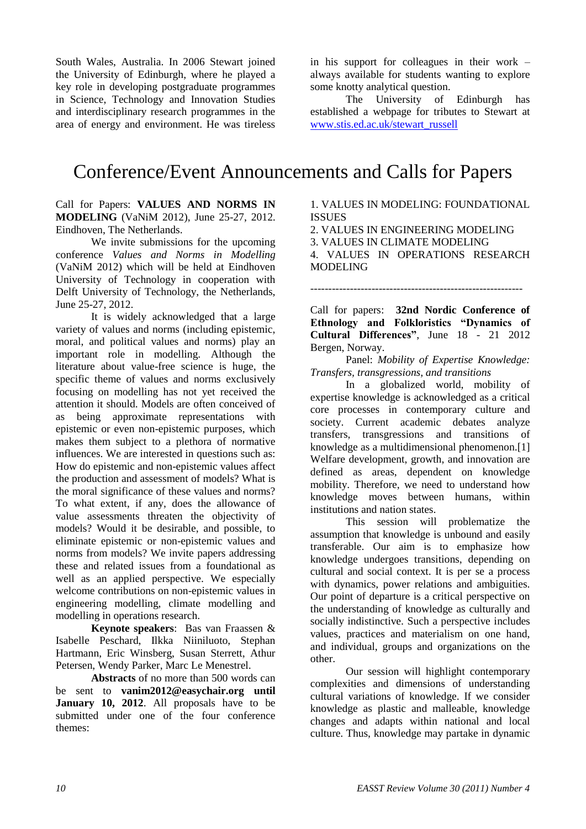South Wales, Australia. In 2006 Stewart joined the University of Edinburgh, where he played a key role in developing postgraduate programmes in Science, Technology and Innovation Studies and interdisciplinary research programmes in the area of energy and environment. He was tireless in his support for colleagues in their work – always available for students wanting to explore some knotty analytical question.

The University of Edinburgh has established a webpage for tributes to Stewart at [www.stis.ed.ac.uk/stewart\\_russell](http://www.stis.ed.ac.uk/stewart_russell)

## Conference/Event Announcements and Calls for Papers

Call for Papers: **VALUES AND NORMS IN MODELING** (VaNiM 2012), June 25-27, 2012. Eindhoven, The Netherlands.

We invite submissions for the upcoming conference *Values and Norms in Modelling* (VaNiM 2012) which will be held at Eindhoven University of Technology in cooperation with Delft University of Technology, the Netherlands, June 25-27, 2012.

It is widely acknowledged that a large variety of values and norms (including epistemic, moral, and political values and norms) play an important role in modelling. Although the literature about value-free science is huge, the specific theme of values and norms exclusively focusing on modelling has not yet received the attention it should. Models are often conceived of as being approximate representations with epistemic or even non-epistemic purposes, which makes them subject to a plethora of normative influences. We are interested in questions such as: How do epistemic and non-epistemic values affect the production and assessment of models? What is the moral significance of these values and norms? To what extent, if any, does the allowance of value assessments threaten the objectivity of models? Would it be desirable, and possible, to eliminate epistemic or non-epistemic values and norms from models? We invite papers addressing these and related issues from a foundational as well as an applied perspective. We especially welcome contributions on non-epistemic values in engineering modelling, climate modelling and modelling in operations research.

**Keynote speakers**: Bas van Fraassen & Isabelle Peschard, Ilkka Niiniluoto, Stephan Hartmann, Eric Winsberg, Susan Sterrett, Athur Petersen, Wendy Parker, Marc Le Menestrel.

**Abstracts** of no more than 500 words can be sent to **vanim2012@easychair.org until**  January 10, 2012. All proposals have to be submitted under one of the four conference themes:

1. VALUES IN MODELING: FOUNDATIONAL ISSUES

2. VALUES IN ENGINEERING MODELING 3. VALUES IN CLIMATE MODELING 4. VALUES IN OPERATIONS RESEARCH MODELING

-----------------------------------------------------------

Call for papers: **32nd Nordic Conference of Ethnology and Folkloristics "Dynamics of Cultural Differences"**, June 18 - 21 2012 Bergen, Norway.

Panel: *Mobility of Expertise Knowledge: Transfers, transgressions, and transitions*

In a globalized world, mobility of expertise knowledge is acknowledged as a critical core processes in contemporary culture and society. Current academic debates analyze transfers, transgressions and transitions of knowledge as a multidimensional phenomenon.[1] Welfare development, growth, and innovation are defined as areas, dependent on knowledge mobility. Therefore, we need to understand how knowledge moves between humans, within institutions and nation states.

This session will problematize the assumption that knowledge is unbound and easily transferable. Our aim is to emphasize how knowledge undergoes transitions, depending on cultural and social context. It is per se a process with dynamics, power relations and ambiguities. Our point of departure is a critical perspective on the understanding of knowledge as culturally and socially indistinctive. Such a perspective includes values, practices and materialism on one hand, and individual, groups and organizations on the other.

Our session will highlight contemporary complexities and dimensions of understanding cultural variations of knowledge. If we consider knowledge as plastic and malleable, knowledge changes and adapts within national and local culture. Thus, knowledge may partake in dynamic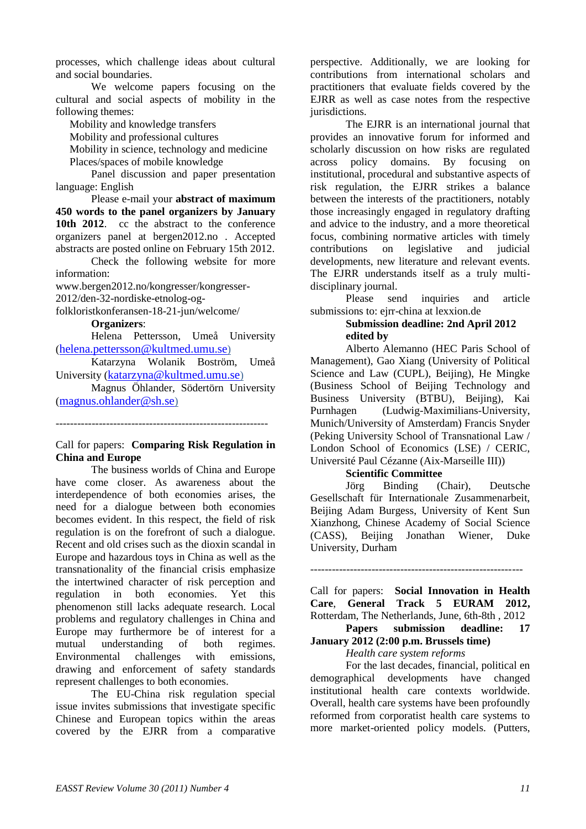processes, which challenge ideas about cultural and social boundaries.

We welcome papers focusing on the cultural and social aspects of mobility in the following themes:

Mobility and knowledge transfers

Mobility and professional cultures

Mobility in science, technology and medicine

Places/spaces of mobile knowledge

Panel discussion and paper presentation language: English

Please e-mail your **abstract of maximum 450 words to the panel organizers by January 10th 2012**. cc the abstract to the conference organizers panel at bergen2012.no . Accepted abstracts are posted online on February 15th 2012.

Check the following website for more information:

www.bergen2012.no/kongresser/kongresser-

2012/den-32-nordiske-etnolog-og-

folkloristkonferansen-18-21-jun/welcome/

#### **Organizers**:

Helena Pettersson, Umeå University ([helena.pettersson@kultmed.umu.se](mailto:helena.pettersson@kultmed.umu.se))

Katarzyna Wolanik Boström, Umeå University ([katarzyna@kultmed.umu.se](mailto:katarzyna@kultmed.umu.se))

Magnus Öhlander, Södertörn University ([magnus.ohlander@sh.se](mailto:magnus.ohlander@sh.se))

-----------------------------------------------------------

#### Call for papers: **Comparing Risk Regulation in China and Europe**

The business worlds of China and Europe have come closer. As awareness about the interdependence of both economies arises, the need for a dialogue between both economies becomes evident. In this respect, the field of risk regulation is on the forefront of such a dialogue. Recent and old crises such as the dioxin scandal in Europe and hazardous toys in China as well as the transnationality of the financial crisis emphasize the intertwined character of risk perception and regulation in both economies. Yet this phenomenon still lacks adequate research. Local problems and regulatory challenges in China and Europe may furthermore be of interest for a mutual understanding of both regimes. Environmental challenges with emissions, drawing and enforcement of safety standards represent challenges to both economies.

The EU-China risk regulation special issue invites submissions that investigate specific Chinese and European topics within the areas covered by the EJRR from a comparative

perspective. Additionally, we are looking for contributions from international scholars and practitioners that evaluate fields covered by the EJRR as well as case notes from the respective jurisdictions.

The EJRR is an international journal that provides an innovative forum for informed and scholarly discussion on how risks are regulated across policy domains. By focusing on institutional, procedural and substantive aspects of risk regulation, the EJRR strikes a balance between the interests of the practitioners, notably those increasingly engaged in regulatory drafting and advice to the industry, and a more theoretical focus, combining normative articles with timely contributions on legislative and judicial developments, new literature and relevant events. The EJRR understands itself as a truly multidisciplinary journal.

Please send inquiries and article submissions to: eirr-china at lexxion.de

#### **Submission deadline: 2nd April 2012 edited by**

Alberto Alemanno (HEC Paris School of Management), Gao Xiang (University of Political Science and Law (CUPL), Beijing), He Mingke (Business School of Beijing Technology and Business University (BTBU), Beijing), Kai Purnhagen (Ludwig-Maximilians-University, Munich/University of Amsterdam) Francis Snyder (Peking University School of Transnational Law / London School of Economics (LSE) / CERIC, Université Paul Cézanne (Aix-Marseille III))

#### **Scientific Committee**

Jörg Binding (Chair), Deutsche Gesellschaft für Internationale Zusammenarbeit, Beijing Adam Burgess, University of Kent Sun Xianzhong, Chinese Academy of Social Science (CASS), Beijing Jonathan Wiener, Duke University, Durham

-----------------------------------------------------------

Call for papers: **Social Innovation in Health Care**, **General Track 5 EURAM 2012,**  Rotterdam, The Netherlands, June, 6th-8th , 2012

**Papers submission deadline: 17 January 2012 (2:00 p.m. Brussels time)**

*Health care system reforms*

For the last decades, financial, political en demographical developments have changed institutional health care contexts worldwide. Overall, health care systems have been profoundly reformed from corporatist health care systems to more market-oriented policy models. (Putters,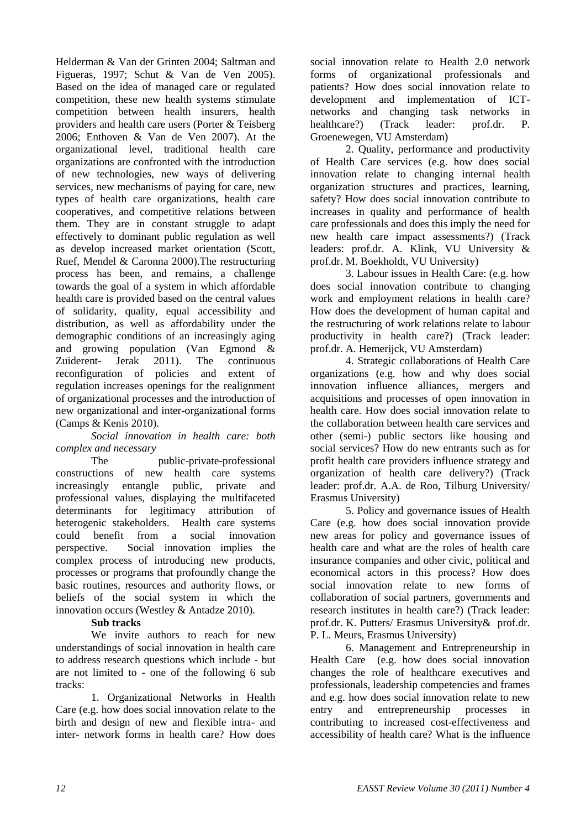Helderman & Van der Grinten 2004; Saltman and Figueras, 1997; Schut & Van de Ven 2005). Based on the idea of managed care or regulated competition, these new health systems stimulate competition between health insurers, health providers and health care users (Porter & Teisberg 2006; Enthoven & Van de Ven 2007). At the organizational level, traditional health care organizations are confronted with the introduction of new technologies, new ways of delivering services, new mechanisms of paying for care, new types of health care organizations, health care cooperatives, and competitive relations between them. They are in constant struggle to adapt effectively to dominant public regulation as well as develop increased market orientation (Scott, Ruef, Mendel & Caronna 2000).The restructuring process has been, and remains, a challenge towards the goal of a system in which affordable health care is provided based on the central values of solidarity, quality, equal accessibility and distribution, as well as affordability under the demographic conditions of an increasingly aging and growing population (Van Egmond & Zuiderent- Jerak 2011). The continuous reconfiguration of policies and extent of regulation increases openings for the realignment of organizational processes and the introduction of new organizational and inter-organizational forms (Camps & Kenis 2010).

*Social innovation in health care: both complex and necessary*

The public-private-professional constructions of new health care systems increasingly entangle public, private and professional values, displaying the multifaceted determinants for legitimacy attribution of heterogenic stakeholders. Health care systems could benefit from a social innovation perspective. Social innovation implies the complex process of introducing new products, processes or programs that profoundly change the basic routines, resources and authority flows, or beliefs of the social system in which the innovation occurs (Westley & Antadze 2010).

#### **Sub tracks**

We invite authors to reach for new understandings of social innovation in health care to address research questions which include - but are not limited to - one of the following 6 sub tracks:

1. Organizational Networks in Health Care (e.g. how does social innovation relate to the birth and design of new and flexible intra- and inter- network forms in health care? How does social innovation relate to Health 2.0 network forms of organizational professionals and patients? How does social innovation relate to development and implementation of ICTnetworks and changing task networks in healthcare?) (Track leader: prof.dr. P. Groenewegen, VU Amsterdam)

2. Quality, performance and productivity of Health Care services (e.g. how does social innovation relate to changing internal health organization structures and practices, learning, safety? How does social innovation contribute to increases in quality and performance of health care professionals and does this imply the need for new health care impact assessments?) (Track leaders: prof.dr. A. Klink, VU University & prof.dr. M. Boekholdt, VU University)

3. Labour issues in Health Care: (e.g. how does social innovation contribute to changing work and employment relations in health care? How does the development of human capital and the restructuring of work relations relate to labour productivity in health care?) (Track leader: prof.dr. A. Hemerijck, VU Amsterdam)

4. Strategic collaborations of Health Care organizations (e.g. how and why does social innovation influence alliances, mergers and acquisitions and processes of open innovation in health care. How does social innovation relate to the collaboration between health care services and other (semi-) public sectors like housing and social services? How do new entrants such as for profit health care providers influence strategy and organization of health care delivery?) (Track leader: prof.dr. A.A. de Roo, Tilburg University/ Erasmus University)

5. Policy and governance issues of Health Care (e.g. how does social innovation provide new areas for policy and governance issues of health care and what are the roles of health care insurance companies and other civic, political and economical actors in this process? How does social innovation relate to new forms of collaboration of social partners, governments and research institutes in health care?) (Track leader: prof.dr. K. Putters/ Erasmus University& prof.dr. P. L. Meurs, Erasmus University)

6. Management and Entrepreneurship in Health Care (e.g. how does social innovation changes the role of healthcare executives and professionals, leadership competencies and frames and e.g. how does social innovation relate to new entry and entrepreneurship processes in contributing to increased cost-effectiveness and accessibility of health care? What is the influence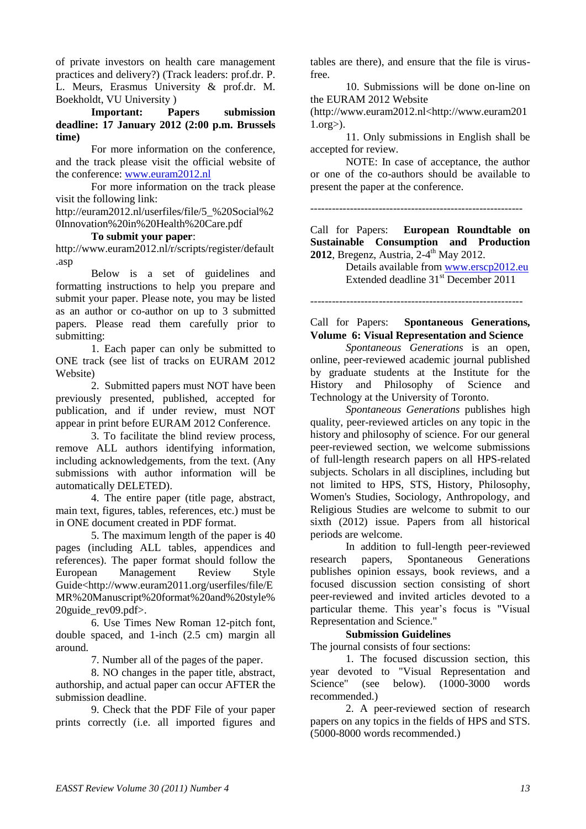of private investors on health care management practices and delivery?) (Track leaders: prof.dr. P. L. Meurs, Erasmus University & prof.dr. M. Boekholdt, VU University )

**Important: Papers submission deadline: 17 January 2012 (2:00 p.m. Brussels time)**

For more information on the conference, and the track please visit the official website of the conference: [www.euram2012.nl](http://www.euram2012.nl/)

For more information on the track please visit the following link:

http://euram2012.nl/userfiles/file/5\_%20Social%2 0Innovation%20in%20Health%20Care.pdf

#### **To submit your paper**:

http://www.euram2012.nl/r/scripts/register/default .asp

Below is a set of guidelines and formatting instructions to help you prepare and submit your paper. Please note, you may be listed as an author or co-author on up to 3 submitted papers. Please read them carefully prior to submitting:

1. Each paper can only be submitted to ONE track (see list of tracks on EURAM 2012 Website)

2. Submitted papers must NOT have been previously presented, published, accepted for publication, and if under review, must NOT appear in print before EURAM 2012 Conference.

3. To facilitate the blind review process, remove ALL authors identifying information, including acknowledgements, from the text. (Any submissions with author information will be automatically DELETED).

4. The entire paper (title page, abstract, main text, figures, tables, references, etc.) must be in ONE document created in PDF format.

5. The maximum length of the paper is 40 pages (including ALL tables, appendices and references). The paper format should follow the European Management Review Style Guide<http://www.euram2011.org/userfiles/file/E MR%20Manuscript%20format%20and%20style% 20guide\_rev09.pdf>.

6. Use Times New Roman 12-pitch font, double spaced, and 1-inch (2.5 cm) margin all around.

7. Number all of the pages of the paper.

8. NO changes in the paper title, abstract, authorship, and actual paper can occur AFTER the submission deadline.

9. Check that the PDF File of your paper prints correctly (i.e. all imported figures and tables are there), and ensure that the file is virusfree.

10. Submissions will be done on-line on the EURAM 2012 Website

(http://www.euram2012.nl<http://www.euram201 1.org>).

11. Only submissions in English shall be accepted for review.

NOTE: In case of acceptance, the author or one of the co-authors should be available to present the paper at the conference.

-----------------------------------------------------------

Call for Papers: **European Roundtable on Sustainable Consumption and Production** 2012, Bregenz, Austria, 2-4<sup>th</sup> May 2012.

Details available from [www.erscp2012.eu](http://www.erscp2012.eu/) Extended deadline 31<sup>st</sup> December 2011

Call for Papers: **Spontaneous Generations, Volume 6: Visual Representation and Science**

-----------------------------------------------------------

*Spontaneous Generations* is an open, online, peer-reviewed academic journal published by graduate students at the Institute for the History and Philosophy of Science and Technology at the University of Toronto.

*Spontaneous Generations* publishes high quality, peer-reviewed articles on any topic in the history and philosophy of science. For our general peer-reviewed section, we welcome submissions of full-length research papers on all HPS-related subjects. Scholars in all disciplines, including but not limited to HPS, STS, History, Philosophy, Women's Studies, Sociology, Anthropology, and Religious Studies are welcome to submit to our sixth (2012) issue. Papers from all historical periods are welcome.

In addition to full-length peer-reviewed research papers, Spontaneous Generations publishes opinion essays, book reviews, and a focused discussion section consisting of short peer-reviewed and invited articles devoted to a particular theme. This year's focus is "Visual Representation and Science."

#### **Submission Guidelines**

The journal consists of four sections:

1. The focused discussion section, this year devoted to "Visual Representation and Science" (see below). (1000-3000 words recommended.)

2. A peer-reviewed section of research papers on any topics in the fields of HPS and STS. (5000-8000 words recommended.)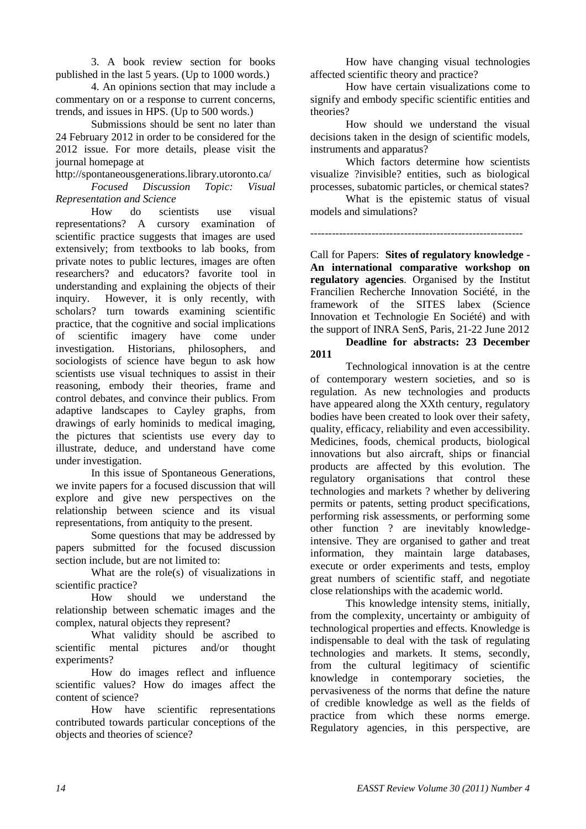3. A book review section for books published in the last 5 years. (Up to 1000 words.)

4. An opinions section that may include a commentary on or a response to current concerns, trends, and issues in HPS. (Up to 500 words.)

Submissions should be sent no later than 24 February 2012 in order to be considered for the 2012 issue. For more details, please visit the journal homepage at

http://spontaneousgenerations.library.utoronto.ca/

*Focused Discussion Topic: Visual Representation and Science*

How do scientists use visual representations? A cursory examination of scientific practice suggests that images are used extensively; from textbooks to lab books, from private notes to public lectures, images are often researchers? and educators? favorite tool in understanding and explaining the objects of their inquiry. However, it is only recently, with scholars? turn towards examining scientific practice, that the cognitive and social implications of scientific imagery have come under investigation. Historians, philosophers, and sociologists of science have begun to ask how scientists use visual techniques to assist in their reasoning, embody their theories, frame and control debates, and convince their publics. From adaptive landscapes to Cayley graphs, from drawings of early hominids to medical imaging, the pictures that scientists use every day to illustrate, deduce, and understand have come under investigation.

In this issue of Spontaneous Generations, we invite papers for a focused discussion that will explore and give new perspectives on the relationship between science and its visual representations, from antiquity to the present.

Some questions that may be addressed by papers submitted for the focused discussion section include, but are not limited to:

What are the role(s) of visualizations in scientific practice?

How should we understand the relationship between schematic images and the complex, natural objects they represent?

What validity should be ascribed to scientific mental pictures and/or thought experiments?

How do images reflect and influence scientific values? How do images affect the content of science?

How have scientific representations contributed towards particular conceptions of the objects and theories of science?

How have changing visual technologies affected scientific theory and practice?

How have certain visualizations come to signify and embody specific scientific entities and theories?

How should we understand the visual decisions taken in the design of scientific models, instruments and apparatus?

Which factors determine how scientists visualize ?invisible? entities, such as biological processes, subatomic particles, or chemical states?

What is the epistemic status of visual models and simulations?

-----------------------------------------------------------

Call for Papers: **Sites of regulatory knowledge - An international comparative workshop on regulatory agencies**. Organised by the Institut Francilien Recherche Innovation Société, in the framework of the SITES labex (Science Innovation et Technologie En Société) and with the support of INRA SenS, Paris, 21-22 June 2012

#### **Deadline for abstracts: 23 December 2011**

Technological innovation is at the centre of contemporary western societies, and so is regulation. As new technologies and products have appeared along the XXth century, regulatory bodies have been created to look over their safety, quality, efficacy, reliability and even accessibility. Medicines, foods, chemical products, biological innovations but also aircraft, ships or financial products are affected by this evolution. The regulatory organisations that control these technologies and markets ? whether by delivering permits or patents, setting product specifications, performing risk assessments, or performing some other function ? are inevitably knowledgeintensive. They are organised to gather and treat information, they maintain large databases, execute or order experiments and tests, employ great numbers of scientific staff, and negotiate close relationships with the academic world.

This knowledge intensity stems, initially, from the complexity, uncertainty or ambiguity of technological properties and effects. Knowledge is indispensable to deal with the task of regulating technologies and markets. It stems, secondly, from the cultural legitimacy of scientific knowledge in contemporary societies, the pervasiveness of the norms that define the nature of credible knowledge as well as the fields of practice from which these norms emerge. Regulatory agencies, in this perspective, are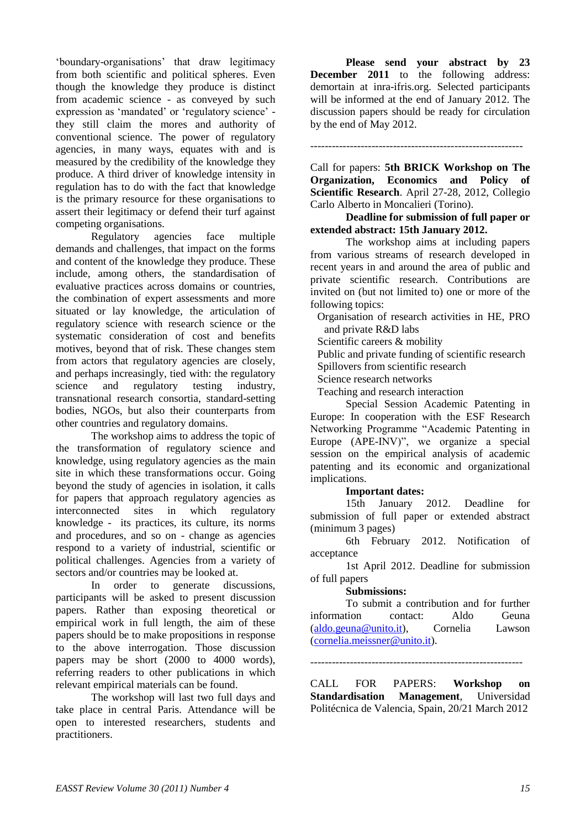"boundary-organisations" that draw legitimacy from both scientific and political spheres. Even though the knowledge they produce is distinct from academic science - as conveyed by such expression as 'mandated' or 'regulatory science' they still claim the mores and authority of conventional science. The power of regulatory agencies, in many ways, equates with and is measured by the credibility of the knowledge they produce. A third driver of knowledge intensity in regulation has to do with the fact that knowledge is the primary resource for these organisations to assert their legitimacy or defend their turf against competing organisations.

Regulatory agencies face multiple demands and challenges, that impact on the forms and content of the knowledge they produce. These include, among others, the standardisation of evaluative practices across domains or countries, the combination of expert assessments and more situated or lay knowledge, the articulation of regulatory science with research science or the systematic consideration of cost and benefits motives, beyond that of risk. These changes stem from actors that regulatory agencies are closely, and perhaps increasingly, tied with: the regulatory science and regulatory testing industry, transnational research consortia, standard-setting bodies, NGOs, but also their counterparts from other countries and regulatory domains.

The workshop aims to address the topic of the transformation of regulatory science and knowledge, using regulatory agencies as the main site in which these transformations occur. Going beyond the study of agencies in isolation, it calls for papers that approach regulatory agencies as interconnected sites in which regulatory knowledge - its practices, its culture, its norms and procedures, and so on - change as agencies respond to a variety of industrial, scientific or political challenges. Agencies from a variety of sectors and/or countries may be looked at.

In order to generate discussions, participants will be asked to present discussion papers. Rather than exposing theoretical or empirical work in full length, the aim of these papers should be to make propositions in response to the above interrogation. Those discussion papers may be short (2000 to 4000 words), referring readers to other publications in which relevant empirical materials can be found.

The workshop will last two full days and take place in central Paris. Attendance will be open to interested researchers, students and practitioners.

**Please send your abstract by 23 December 2011** to the following address: demortain at inra-ifris.org. Selected participants will be informed at the end of January 2012. The discussion papers should be ready for circulation by the end of May 2012.

Call for papers: **5th BRICK Workshop on The Organization, Economics and Policy of Scientific Research**. April 27-28, 2012, Collegio Carlo Alberto in Moncalieri (Torino).

-----------------------------------------------------------

**Deadline for submission of full paper or extended abstract: 15th January 2012.**

The workshop aims at including papers from various streams of research developed in recent years in and around the area of public and private scientific research. Contributions are invited on (but not limited to) one or more of the following topics:

Organisation of research activities in HE, PRO and private R&D labs

Scientific careers & mobility

Public and private funding of scientific research

Spillovers from scientific research

Science research networks

Teaching and research interaction

Special Session Academic Patenting in Europe: In cooperation with the ESF Research Networking Programme "Academic Patenting in Europe (APE-INV)", we organize a special session on the empirical analysis of academic patenting and its economic and organizational implications.

#### **Important dates:**

15th January 2012. Deadline for submission of full paper or extended abstract (minimum 3 pages)

6th February 2012. Notification of acceptance

1st April 2012. Deadline for submission of full papers

#### **Submissions:**

To submit a contribution and for further information contact: Aldo Geuna [\(aldo.geuna@unito.it\)](mailto:aldo.geuna@unito.it), Cornelia Lawson [\(cornelia.meissner@unito.it\)](mailto:cornelia.meissner@unito.it).

-----------------------------------------------------------

CALL FOR PAPERS: **Workshop on Standardisation Management**, Universidad Politécnica de Valencia, Spain, 20/21 March 2012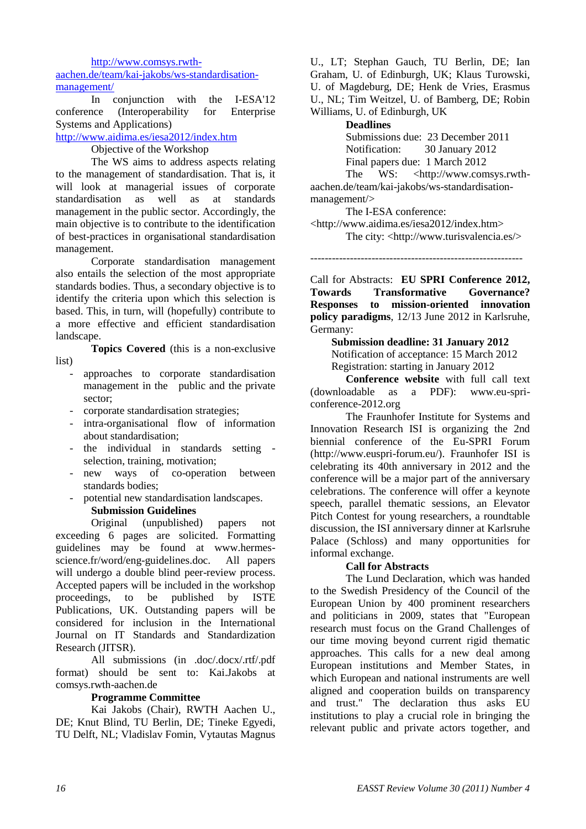[http://www.comsys.rwth](http://www.comsys.rwth-aachen.de/team/kai-jakobs/ws-standardisation-management/)[aachen.de/team/kai-jakobs/ws-standardisation](http://www.comsys.rwth-aachen.de/team/kai-jakobs/ws-standardisation-management/)[management/](http://www.comsys.rwth-aachen.de/team/kai-jakobs/ws-standardisation-management/)

In conjunction with the I-ESA'12 conference (Interoperability for Enterprise Systems and Applications)

<http://www.aidima.es/iesa2012/index.htm>

Objective of the Workshop

The WS aims to address aspects relating to the management of standardisation. That is, it will look at managerial issues of corporate standardisation as well as at standards management in the public sector. Accordingly, the main objective is to contribute to the identification of best-practices in organisational standardisation management.

Corporate standardisation management also entails the selection of the most appropriate standards bodies. Thus, a secondary objective is to identify the criteria upon which this selection is based. This, in turn, will (hopefully) contribute to a more effective and efficient standardisation landscape.

**Topics Covered** (this is a non-exclusive list)

- approaches to corporate standardisation management in the public and the private sector;
- corporate standardisation strategies;
- intra-organisational flow of information about standardisation;
- the individual in standards setting selection, training, motivation;
- new ways of co-operation between standards bodies;
- potential new standardisation landscapes. **Submission Guidelines**

Original (unpublished) papers not exceeding 6 pages are solicited. Formatting guidelines may be found at www.hermesscience.fr/word/eng-guidelines.doc. All papers will undergo a double blind peer-review process. Accepted papers will be included in the workshop proceedings, to be published by ISTE Publications, UK. Outstanding papers will be considered for inclusion in the International Journal on IT Standards and Standardization Research (JITSR).

All submissions (in .doc/.docx/.rtf/.pdf format) should be sent to: Kai.Jakobs at comsys.rwth-aachen.de

#### **Programme Committee**

Kai Jakobs (Chair), RWTH Aachen U., DE; Knut Blind, TU Berlin, DE; Tineke Egyedi, TU Delft, NL; Vladislav Fomin, Vytautas Magnus U., LT; Stephan Gauch, TU Berlin, DE; Ian Graham, U. of Edinburgh, UK; Klaus Turowski, U. of Magdeburg, DE; Henk de Vries, Erasmus U., NL; Tim Weitzel, U. of Bamberg, DE; Robin Williams, U. of Edinburgh, UK

#### **Deadlines**

Submissions due: 23 December 2011 Notification: 30 January 2012 Final papers due: 1 March 2012

The WS: <http://www.comsys.rwthaachen.de/team/kai-jakobs/ws-standardisationmanagement/>

The I-ESA conference:

<http://www.aidima.es/iesa2012/index.htm> The city: <http://www.turisvalencia.es/>

-----------------------------------------------------------

Call for Abstracts: **EU SPRI Conference 2012, Towards Transformative Governance? Responses to mission-oriented innovation policy paradigms**, 12/13 June 2012 in Karlsruhe, Germany:

**Submission deadline: 31 January 2012** Notification of acceptance: 15 March 2012 Registration: starting in January 2012

**Conference website** with full call text (downloadable as a PDF): www.eu-spriconference-2012.org

The Fraunhofer Institute for Systems and Innovation Research ISI is organizing the 2nd biennial conference of the Eu-SPRI Forum (http://www.euspri-forum.eu/). Fraunhofer ISI is celebrating its 40th anniversary in 2012 and the conference will be a major part of the anniversary celebrations. The conference will offer a keynote speech, parallel thematic sessions, an Elevator Pitch Contest for young researchers, a roundtable discussion, the ISI anniversary dinner at Karlsruhe Palace (Schloss) and many opportunities for informal exchange.

#### **Call for Abstracts**

The Lund Declaration, which was handed to the Swedish Presidency of the Council of the European Union by 400 prominent researchers and politicians in 2009, states that "European research must focus on the Grand Challenges of our time moving beyond current rigid thematic approaches. This calls for a new deal among European institutions and Member States, in which European and national instruments are well aligned and cooperation builds on transparency and trust." The declaration thus asks EU institutions to play a crucial role in bringing the relevant public and private actors together, and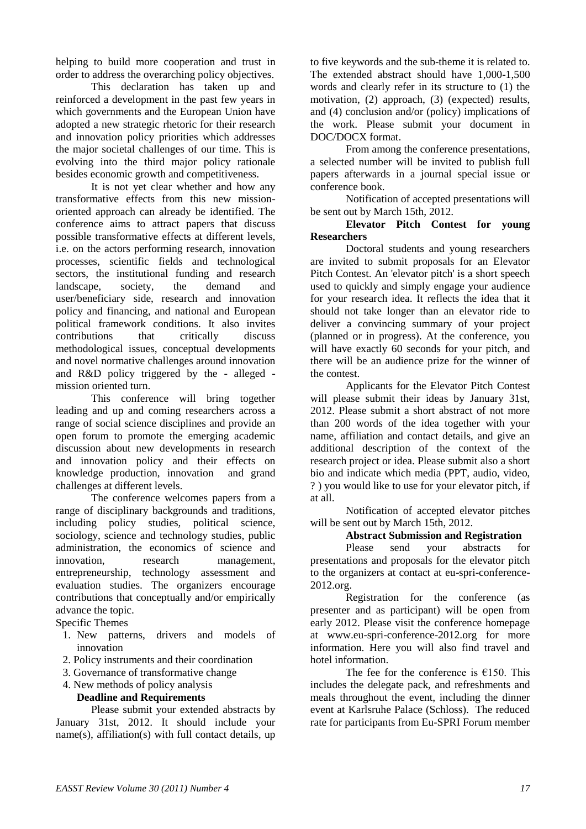helping to build more cooperation and trust in order to address the overarching policy objectives.

This declaration has taken up and reinforced a development in the past few years in which governments and the European Union have adopted a new strategic rhetoric for their research and innovation policy priorities which addresses the major societal challenges of our time. This is evolving into the third major policy rationale besides economic growth and competitiveness.

It is not yet clear whether and how any transformative effects from this new missionoriented approach can already be identified. The conference aims to attract papers that discuss possible transformative effects at different levels, i.e. on the actors performing research, innovation processes, scientific fields and technological sectors, the institutional funding and research landscape, society, the demand and user/beneficiary side, research and innovation policy and financing, and national and European political framework conditions. It also invites contributions that critically discuss methodological issues, conceptual developments and novel normative challenges around innovation and R&D policy triggered by the - alleged mission oriented turn.

This conference will bring together leading and up and coming researchers across a range of social science disciplines and provide an open forum to promote the emerging academic discussion about new developments in research and innovation policy and their effects on knowledge production, innovation and grand challenges at different levels.

The conference welcomes papers from a range of disciplinary backgrounds and traditions, including policy studies, political science, sociology, science and technology studies, public administration, the economics of science and innovation, research management, entrepreneurship, technology assessment and evaluation studies. The organizers encourage contributions that conceptually and/or empirically advance the topic.

Specific Themes

- 1. New patterns, drivers and models of innovation
- 2. Policy instruments and their coordination
- 3. Governance of transformative change
- 4. New methods of policy analysis

#### **Deadline and Requirements**

Please submit your extended abstracts by January 31st, 2012. It should include your name(s), affiliation(s) with full contact details, up to five keywords and the sub-theme it is related to. The extended abstract should have 1,000-1,500 words and clearly refer in its structure to (1) the motivation, (2) approach, (3) (expected) results, and (4) conclusion and/or (policy) implications of the work. Please submit your document in DOC/DOCX format.

From among the conference presentations, a selected number will be invited to publish full papers afterwards in a journal special issue or conference book.

Notification of accepted presentations will be sent out by March 15th, 2012.

#### **Elevator Pitch Contest for young Researchers**

Doctoral students and young researchers are invited to submit proposals for an Elevator Pitch Contest. An 'elevator pitch' is a short speech used to quickly and simply engage your audience for your research idea. It reflects the idea that it should not take longer than an elevator ride to deliver a convincing summary of your project (planned or in progress). At the conference, you will have exactly 60 seconds for your pitch, and there will be an audience prize for the winner of the contest.

Applicants for the Elevator Pitch Contest will please submit their ideas by January 31st, 2012. Please submit a short abstract of not more than 200 words of the idea together with your name, affiliation and contact details, and give an additional description of the context of the research project or idea. Please submit also a short bio and indicate which media (PPT, audio, video, ? ) you would like to use for your elevator pitch, if at all.

Notification of accepted elevator pitches will be sent out by March 15th, 2012.

#### **Abstract Submission and Registration**

Please send your abstracts for presentations and proposals for the elevator pitch to the organizers at contact at eu-spri-conference-2012.org.

Registration for the conference (as presenter and as participant) will be open from early 2012. Please visit the conference homepage at www.eu-spri-conference-2012.org for more information. Here you will also find travel and hotel information.

The fee for the conference is  $€150$ . This includes the delegate pack, and refreshments and meals throughout the event, including the dinner event at Karlsruhe Palace (Schloss). The reduced rate for participants from Eu-SPRI Forum member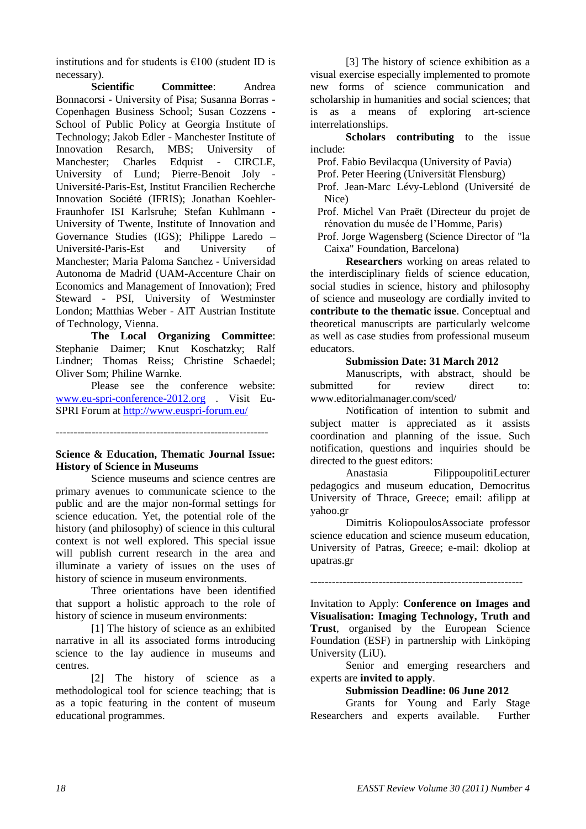institutions and for students is  $€100$  (student ID is necessary).

**Scientific Committee**: Andrea Bonnacorsi - University of Pisa; Susanna Borras - Copenhagen Business School; Susan Cozzens - School of Public Policy at Georgia Institute of Technology; Jakob Edler - Manchester Institute of Innovation Resarch, MBS; University of Manchester; Charles Edquist - CIRCLE, University of Lund; Pierre-Benoit Joly - Université-Paris-Est, Institut Francilien Recherche Innovation Société (IFRIS); Jonathan Koehler-Fraunhofer ISI Karlsruhe; Stefan Kuhlmann - University of Twente, Institute of Innovation and Governance Studies (IGS); Philippe Laredo – Université-Paris-Est and University of Manchester; Maria Paloma Sanchez - Universidad Autonoma de Madrid (UAM-Accenture Chair on Economics and Management of Innovation); Fred Steward - PSI, University of Westminster London; Matthias Weber - AIT Austrian Institute of Technology, Vienna.

**The Local Organizing Committee**: Stephanie Daimer; Knut Koschatzky; Ralf Lindner; Thomas Reiss; Christine Schaedel; Oliver Som; Philine Warnke.

Please see the conference website: [www.eu-spri-conference-2012.org](http://www.eu-spri-conference-2012.org/) . Visit Eu-SPRI Forum at<http://www.euspri-forum.eu/>

-----------------------------------------------------------

#### **Science & Education, Thematic Journal Issue: History of Science in Museums**

Science museums and science centres are primary avenues to communicate science to the public and are the major non-formal settings for science education. Yet, the potential role of the history (and philosophy) of science in this cultural context is not well explored. This special issue will publish current research in the area and illuminate a variety of issues on the uses of history of science in museum environments.

Three orientations have been identified that support a holistic approach to the role of history of science in museum environments:

[1] The history of science as an exhibited narrative in all its associated forms introducing science to the lay audience in museums and centres.

[2] The history of science as a methodological tool for science teaching; that is as a topic featuring in the content of museum educational programmes.

[3] The history of science exhibition as a visual exercise especially implemented to promote new forms of science communication and scholarship in humanities and social sciences; that is as a means of exploring art-science interrelationships.

**Scholars** contributing to the issue include:

Prof. Fabio Bevilacqua (University of Pavia)

Prof. Peter Heering (Universität Flensburg)

Prof. Jean-Marc Lévy-Leblond (Université de Nice)

Prof. Michel Van Praët (Directeur du projet de rénovation du musée de l"Homme, Paris)

Prof. Jorge Wagensberg (Science Director of "la Caixa" Foundation, Barcelona)

**Researchers** working on areas related to the interdisciplinary fields of science education, social studies in science, history and philosophy of science and museology are cordially invited to **contribute to the thematic issue**. Conceptual and theoretical manuscripts are particularly welcome as well as case studies from professional museum educators.

#### **Submission Date: 31 March 2012**

Manuscripts, with abstract, should be submitted for review direct to: www.editorialmanager.com/sced/

Notification of intention to submit and subject matter is appreciated as it assists coordination and planning of the issue. Such notification, questions and inquiries should be directed to the guest editors:

Anastasia FilippoupolitiLecturer pedagogics and museum education, Democritus University of Thrace, Greece; email: afilipp at yahoo.gr

Dimitris KoliopoulosAssociate professor science education and science museum education, University of Patras, Greece; e-mail: dkoliop at upatras.gr

-----------------------------------------------------------

Invitation to Apply: **Conference on Images and Visualisation: Imaging Technology, Truth and Trust**, organised by the European Science Foundation (ESF) in partnership with Linköping University (LiU).

Senior and emerging researchers and experts are **invited to apply**.

#### **Submission Deadline: 06 June 2012**

Grants for Young and Early Stage Researchers and experts available. Further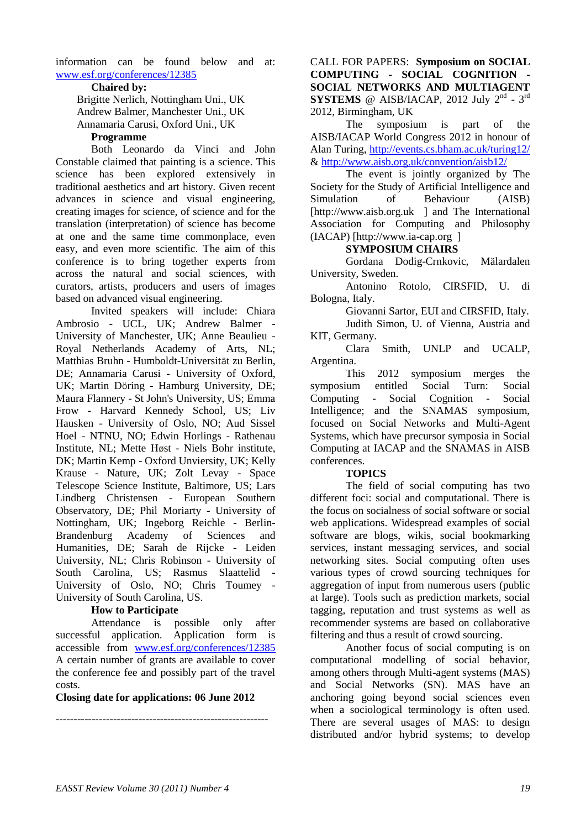information can be found below and at: [www.esf.org/conferences/12385](http://www.esf.org/conferences/12385) 

#### **Chaired by:**

Brigitte Nerlich, Nottingham Uni., UK Andrew Balmer, Manchester Uni., UK Annamaria Carusi, Oxford Uni., UK

#### **Programme**

Both Leonardo da Vinci and John Constable claimed that painting is a science. This science has been explored extensively in traditional aesthetics and art history. Given recent advances in science and visual engineering, creating images for science, of science and for the translation (interpretation) of science has become at one and the same time commonplace, even easy, and even more scientific. The aim of this conference is to bring together experts from across the natural and social sciences, with curators, artists, producers and users of images based on advanced visual engineering.

Invited speakers will include: Chiara Ambrosio - UCL, UK; Andrew Balmer - University of Manchester, UK; Anne Beaulieu - Royal Netherlands Academy of Arts, NL; Matthias Bruhn - Humboldt-Universität zu Berlin, DE; Annamaria Carusi - University of Oxford, UK; Martin Döring - Hamburg University, DE; Maura Flannery - St John's University, US; Emma Frow - Harvard Kennedy School, US; Liv Hausken - University of Oslo, NO; Aud Sissel Hoel - NTNU, NO; Edwin Horlings - Rathenau Institute, NL; Mette Høst - Niels Bohr institute, DK; Martin Kemp - Oxford Unviersity, UK; Kelly Krause - Nature, UK; Zolt Levay - Space Telescope Science Institute, Baltimore, US; Lars Lindberg Christensen - European Southern Observatory, DE; Phil Moriarty - University of Nottingham, UK; Ingeborg Reichle - Berlin-Brandenburg Academy of Sciences and Humanities, DE; Sarah de Rijcke - Leiden University, NL; Chris Robinson - University of South Carolina, US; Rasmus Slaattelid - University of Oslo, NO; Chris Toumey - University of South Carolina, US.

#### **How to Participate**

Attendance is possible only after successful application. Application form is accessible from [www.esf.org/conferences/12385](http://www.esf.org/conferences/12385)  A certain number of grants are available to cover the conference fee and possibly part of the travel costs.

#### **Closing date for applications: 06 June 2012**

-----------------------------------------------------------

CALL FOR PAPERS: **Symposium on SOCIAL COMPUTING - SOCIAL COGNITION - SOCIAL NETWORKS AND MULTIAGENT SYSTEMS** @ AISB/IACAP, 2012 July  $2^{nd}$  -  $3^{rd}$ 2012, Birmingham, UK

The symposium is part of the AISB/IACAP World Congress 2012 in honour of Alan Turing,<http://events.cs.bham.ac.uk/turing12/> [& http://www.aisb.org.uk/convention/aisb12/](http://www.aisb.org.uk/convention/aisb12/)

The event is jointly organized by The Society for the Study of Artificial Intelligence and Simulation of Behaviour (AISB) [http://www.aisb.org.uk ] and The International Association for Computing and Philosophy (IACAP) [http://www.ia-cap.org ]

#### **SYMPOSIUM CHAIRS**

Gordana Dodig-Crnkovic, Mälardalen University, Sweden.

Antonino Rotolo, CIRSFID, U. di Bologna, Italy.

Giovanni Sartor, EUI and CIRSFID, Italy.

Judith Simon, U. of Vienna, Austria and KIT, Germany.

Clara Smith, UNLP and UCALP, Argentina.

This 2012 symposium merges the symposium entitled Social Turn: Social Computing - Social Cognition - Social Intelligence; and the SNAMAS symposium, focused on Social Networks and Multi-Agent Systems, which have precursor symposia in Social Computing at IACAP and the SNAMAS in AISB conferences.

#### **TOPICS**

The field of social computing has two different foci: social and computational. There is the focus on socialness of social software or social web applications. Widespread examples of social software are blogs, wikis, social bookmarking services, instant messaging services, and social networking sites. Social computing often uses various types of crowd sourcing techniques for aggregation of input from numerous users (public at large). Tools such as prediction markets, social tagging, reputation and trust systems as well as recommender systems are based on collaborative filtering and thus a result of crowd sourcing.

Another focus of social computing is on computational modelling of social behavior, among others through Multi-agent systems (MAS) and Social Networks (SN). MAS have an anchoring going beyond social sciences even when a sociological terminology is often used. There are several usages of MAS: to design distributed and/or hybrid systems; to develop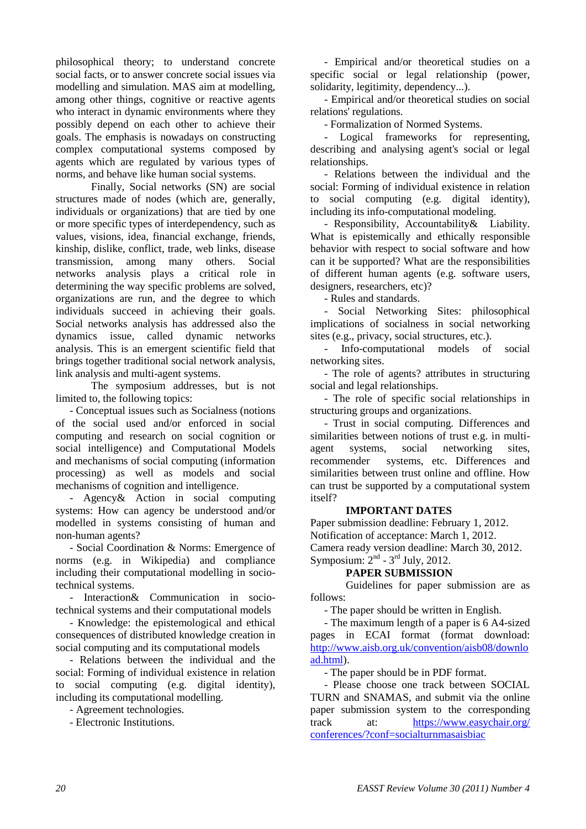philosophical theory; to understand concrete social facts, or to answer concrete social issues via modelling and simulation. MAS aim at modelling, among other things, cognitive or reactive agents who interact in dynamic environments where they possibly depend on each other to achieve their goals. The emphasis is nowadays on constructing complex computational systems composed by agents which are regulated by various types of norms, and behave like human social systems.

Finally, Social networks (SN) are social structures made of nodes (which are, generally, individuals or organizations) that are tied by one or more specific types of interdependency, such as values, visions, idea, financial exchange, friends, kinship, dislike, conflict, trade, web links, disease transmission, among many others. Social networks analysis plays a critical role in determining the way specific problems are solved, organizations are run, and the degree to which individuals succeed in achieving their goals. Social networks analysis has addressed also the dynamics issue, called dynamic networks analysis. This is an emergent scientific field that brings together traditional social network analysis, link analysis and multi-agent systems.

The symposium addresses, but is not limited to, the following topics:

- Conceptual issues such as Socialness (notions of the social used and/or enforced in social computing and research on social cognition or social intelligence) and Computational Models and mechanisms of social computing (information processing) as well as models and social mechanisms of cognition and intelligence.

- Agency& Action in social computing systems: How can agency be understood and/or modelled in systems consisting of human and non-human agents?

- Social Coordination & Norms: Emergence of norms (e.g. in Wikipedia) and compliance including their computational modelling in sociotechnical systems.

- Interaction& Communication in sociotechnical systems and their computational models

- Knowledge: the epistemological and ethical consequences of distributed knowledge creation in social computing and its computational models

- Relations between the individual and the social: Forming of individual existence in relation to social computing (e.g. digital identity), including its computational modelling.

- Agreement technologies.

- Electronic Institutions.

- Empirical and/or theoretical studies on a specific social or legal relationship (power, solidarity, legitimity, dependency...).

- Empirical and/or theoretical studies on social relations' regulations.

- Formalization of Normed Systems.

- Logical frameworks for representing, describing and analysing agent's social or legal relationships.

- Relations between the individual and the social: Forming of individual existence in relation to social computing (e.g. digital identity), including its info-computational modeling.

- Responsibility, Accountability& Liability. What is epistemically and ethically responsible behavior with respect to social software and how can it be supported? What are the responsibilities of different human agents (e.g. software users, designers, researchers, etc)?

- Rules and standards.

- Social Networking Sites: philosophical implications of socialness in social networking sites (e.g., privacy, social structures, etc.).

- Info-computational models of social networking sites.

- The role of agents? attributes in structuring social and legal relationships.

- The role of specific social relationships in structuring groups and organizations.

- Trust in social computing. Differences and similarities between notions of trust e.g. in multiagent systems, social networking sites, recommender systems, etc. Differences and similarities between trust online and offline. How can trust be supported by a computational system itself?

#### **IMPORTANT DATES**

Paper submission deadline: February 1, 2012. Notification of acceptance: March 1, 2012. Camera ready version deadline: March 30, 2012. Symposium:  $2<sup>nd</sup> - 3<sup>rd</sup>$  July, 2012.

#### **PAPER SUBMISSION**

Guidelines for paper submission are as follows:

- The paper should be written in English.

- The maximum length of a paper is 6 A4-sized pages in ECAI format (format download: [http://www.aisb.org.uk/convention/aisb08/downlo](http://www.aisb.org.uk/convention/aisb08/download.html) [ad.html\)](http://www.aisb.org.uk/convention/aisb08/download.html).

- The paper should be in PDF format.

- Please choose one track between SOCIAL TURN and SNAMAS, and submit via the online paper submission system to the corresponding track at: [https://www.easychair.org/](https://www.easychair.org/%20conferences/?conf=socialturnmasaisbiac)  [conferences/?conf=socialturnmasaisbiac](https://www.easychair.org/%20conferences/?conf=socialturnmasaisbiac)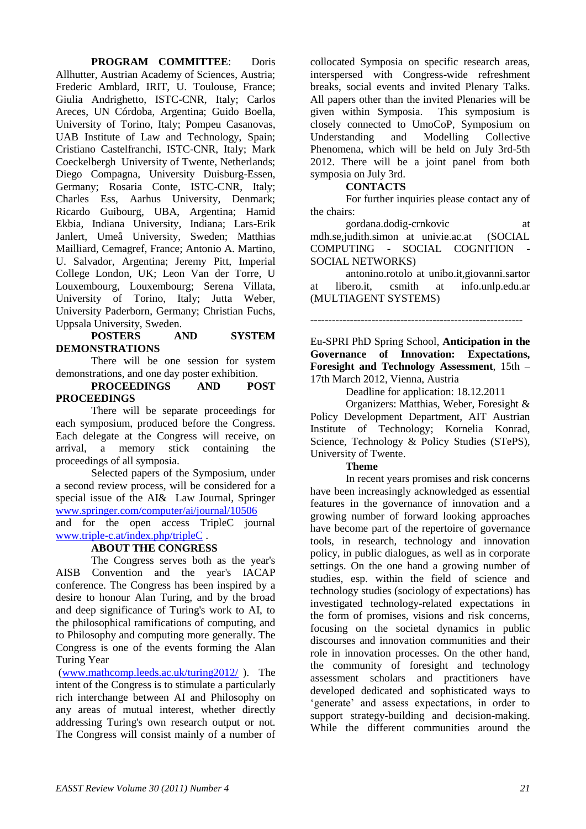**PROGRAM COMMITTEE**: Doris Allhutter, Austrian Academy of Sciences, Austria; Frederic Amblard, IRIT, U. Toulouse, France; Giulia Andrighetto, ISTC-CNR, Italy; Carlos Areces, UN Córdoba, Argentina; Guido Boella, University of Torino, Italy; Pompeu Casanovas, UAB Institute of Law and Technology, Spain; Cristiano Castelfranchi, ISTC-CNR, Italy; Mark Coeckelbergh University of Twente, Netherlands; Diego Compagna, University Duisburg-Essen, Germany; Rosaria Conte, ISTC-CNR, Italy; Charles Ess, Aarhus University, Denmark; Ricardo Guibourg, UBA, Argentina; Hamid Ekbia, Indiana University, Indiana; Lars-Erik Janlert, Umeå University, Sweden; Matthias Mailliard, Cemagref, France; Antonio A. Martino, U. Salvador, Argentina; Jeremy Pitt, Imperial College London, UK; Leon Van der Torre, U Louxembourg, Louxembourg; Serena Villata, University of Torino, Italy; Jutta Weber, University Paderborn, Germany; Christian Fuchs, Uppsala University, Sweden.

#### **POSTERS AND SYSTEM DEMONSTRATIONS**

There will be one session for system demonstrations, and one day poster exhibition.

#### **PROCEEDINGS AND POST PROCEEDINGS**

There will be separate proceedings for each symposium, produced before the Congress. Each delegate at the Congress will receive, on arrival, a memory stick containing the proceedings of all symposia.

Selected papers of the Symposium, under a second review process, will be considered for a special issue of the AI& Law Journal, Springer [www.springer.com/computer/ai/journal/10506](http://www.springer.com/computer/ai/journal/10506)

and for the open access TripleC journal [www.triple-c.at/index.php/tripleC](http://www.triple-c.at/index.php/tripleC) .

#### **ABOUT THE CONGRESS**

The Congress serves both as the year's AISB Convention and the year's IACAP conference. The Congress has been inspired by a desire to honour Alan Turing, and by the broad and deep significance of Turing's work to AI, to the philosophical ramifications of computing, and to Philosophy and computing more generally. The Congress is one of the events forming the Alan Turing Year

[\(www.mathcomp.leeds.ac.uk/turing2012/](http://www.mathcomp.leeds.ac.uk/turing2012/) ). The intent of the Congress is to stimulate a particularly rich interchange between AI and Philosophy on any areas of mutual interest, whether directly addressing Turing's own research output or not. The Congress will consist mainly of a number of

collocated Symposia on specific research areas, interspersed with Congress-wide refreshment breaks, social events and invited Plenary Talks. All papers other than the invited Plenaries will be given within Symposia. This symposium is closely connected to UmoCoP, Symposium on Understanding and Modelling Collective Phenomena, which will be held on July 3rd-5th 2012. There will be a joint panel from both symposia on July 3rd.

#### **CONTACTS**

For further inquiries please contact any of the chairs:

gordana.dodig-crnkovic at mdh.se,judith.simon at univie.ac.at (SOCIAL COMPUTING - SOCIAL COGNITION - SOCIAL NETWORKS)

antonino.rotolo at unibo.it,giovanni.sartor at libero.it, csmith at info.unlp.edu.ar (MULTIAGENT SYSTEMS)

-----------------------------------------------------------

Eu-SPRI PhD Spring School, **Anticipation in the Governance of Innovation: Expectations, Foresight and Technology Assessment**, 15th – 17th March 2012, Vienna, Austria

Deadline for application: 18.12.2011

Organizers: Matthias, Weber, Foresight & Policy Development Department, AIT Austrian Institute of Technology; Kornelia Konrad, Science, Technology & Policy Studies (STePS), University of Twente.

#### **Theme**

In recent years promises and risk concerns have been increasingly acknowledged as essential features in the governance of innovation and a growing number of forward looking approaches have become part of the repertoire of governance tools, in research, technology and innovation policy, in public dialogues, as well as in corporate settings. On the one hand a growing number of studies, esp. within the field of science and technology studies (sociology of expectations) has investigated technology-related expectations in the form of promises, visions and risk concerns, focusing on the societal dynamics in public discourses and innovation communities and their role in innovation processes. On the other hand, the community of foresight and technology assessment scholars and practitioners have developed dedicated and sophisticated ways to 'generate' and assess expectations, in order to support strategy-building and decision-making. While the different communities around the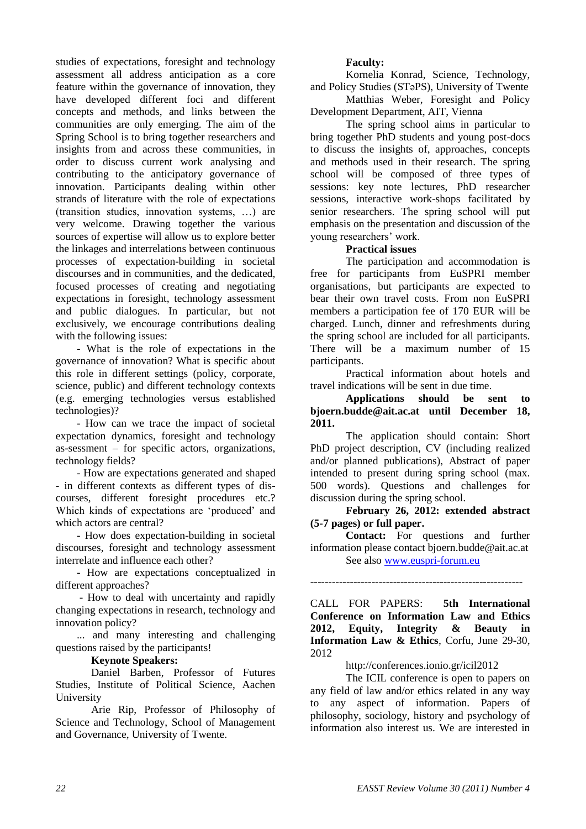studies of expectations, foresight and technology assessment all address anticipation as a core feature within the governance of innovation, they have developed different foci and different concepts and methods, and links between the communities are only emerging. The aim of the Spring School is to bring together researchers and insights from and across these communities, in order to discuss current work analysing and contributing to the anticipatory governance of innovation. Participants dealing within other strands of literature with the role of expectations (transition studies, innovation systems, …) are very welcome. Drawing together the various sources of expertise will allow us to explore better the linkages and interrelations between continuous processes of expectation-building in societal discourses and in communities, and the dedicated, focused processes of creating and negotiating expectations in foresight, technology assessment and public dialogues. In particular, but not exclusively, we encourage contributions dealing with the following issues:

- What is the role of expectations in the governance of innovation? What is specific about this role in different settings (policy, corporate, science, public) and different technology contexts (e.g. emerging technologies versus established technologies)?

- How can we trace the impact of societal expectation dynamics, foresight and technology as-sessment – for specific actors, organizations, technology fields?

- How are expectations generated and shaped - in different contexts as different types of discourses, different foresight procedures etc.? Which kinds of expectations are 'produced' and which actors are central?

- How does expectation-building in societal discourses, foresight and technology assessment interrelate and influence each other?

- How are expectations conceptualized in different approaches?

- How to deal with uncertainty and rapidly changing expectations in research, technology and innovation policy?

... and many interesting and challenging questions raised by the participants!

#### **Keynote Speakers:**

Daniel Barben, Professor of Futures Studies, Institute of Political Science, Aachen **University** 

Arie Rip, Professor of Philosophy of Science and Technology, School of Management and Governance, University of Twente.

#### **Faculty:**

Kornelia Konrad, Science, Technology, and Policy Studies (STəPS), University of Twente

Matthias Weber, Foresight and Policy Development Department, AIT, Vienna

The spring school aims in particular to bring together PhD students and young post-docs to discuss the insights of, approaches, concepts and methods used in their research. The spring school will be composed of three types of sessions: key note lectures, PhD researcher sessions, interactive work-shops facilitated by senior researchers. The spring school will put emphasis on the presentation and discussion of the young researchers" work.

#### **Practical issues**

The participation and accommodation is free for participants from EuSPRI member organisations, but participants are expected to bear their own travel costs. From non EuSPRI members a participation fee of 170 EUR will be charged. Lunch, dinner and refreshments during the spring school are included for all participants. There will be a maximum number of 15 participants.

Practical information about hotels and travel indications will be sent in due time.

**Applications should be sent to bjoern.budde@ait.ac.at until December 18, 2011.** 

The application should contain: Short PhD project description, CV (including realized and/or planned publications), Abstract of paper intended to present during spring school (max. 500 words). Questions and challenges for discussion during the spring school.

#### **February 26, 2012: extended abstract (5-7 pages) or full paper.**

**Contact:** For questions and further information please contact bjoern.budde@ait.ac.at See also [www.euspri-forum.eu](http://www.euspri-forum.eu/)

-----------------------------------------------------------

CALL FOR PAPERS: **5th International Conference on Information Law and Ethics 2012, Equity, Integrity & Beauty in Information Law & Ethics**, Corfu, June 29-30, 2012

#### http://conferences.ionio.gr/icil2012

The ICIL conference is open to papers on any field of law and/or ethics related in any way to any aspect of information. Papers of philosophy, sociology, history and psychology of information also interest us. We are interested in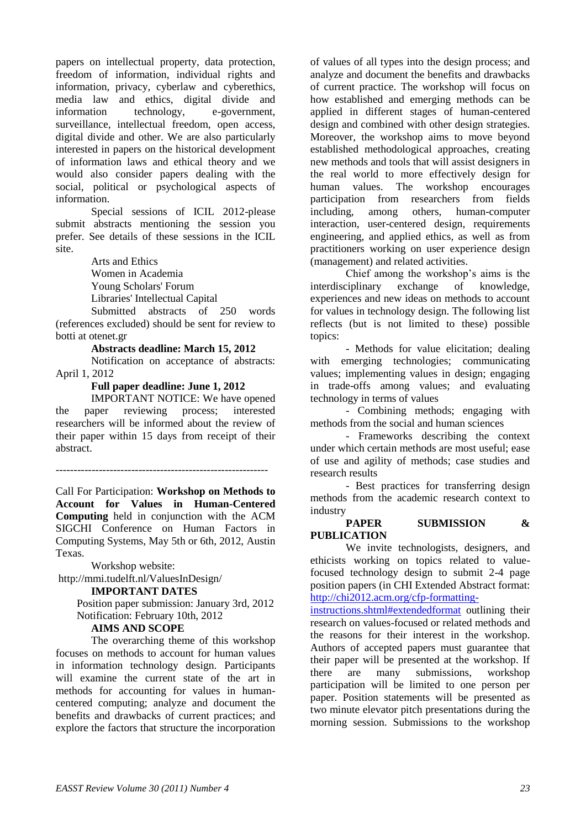papers on intellectual property, data protection, freedom of information, individual rights and information, privacy, cyberlaw and cyberethics, media law and ethics, digital divide and information technology, e-government, surveillance, intellectual freedom, open access, digital divide and other. We are also particularly interested in papers on the historical development of information laws and ethical theory and we would also consider papers dealing with the social, political or psychological aspects of information.

Special sessions of ICIL 2012-please submit abstracts mentioning the session you prefer. See details of these sessions in the ICIL site.

> Arts and Ethics Women in Academia Young Scholars' Forum

Libraries' Intellectual Capital

Submitted abstracts of 250 words (references excluded) should be sent for review to botti at otenet.gr

#### **Abstracts deadline: March 15, 2012**

Notification on acceptance of abstracts: April 1, 2012

#### **Full paper deadline: June 1, 2012**

IMPORTANT NOTICE: We have opened the paper reviewing process; interested researchers will be informed about the review of their paper within 15 days from receipt of their abstract.

-----------------------------------------------------------

Call For Participation: **Workshop on Methods to Account for Values in Human-Centered Computing** held in conjunction with the ACM SIGCHI Conference on Human Factors in Computing Systems, May 5th or 6th, 2012, Austin Texas.

Workshop website: http://mmi.tudelft.nl/ValuesInDesign/

#### **IMPORTANT DATES**

Position paper submission: January 3rd, 2012 Notification: February 10th, 2012

#### **AIMS AND SCOPE**

The overarching theme of this workshop focuses on methods to account for human values in information technology design. Participants will examine the current state of the art in methods for accounting for values in humancentered computing; analyze and document the benefits and drawbacks of current practices; and explore the factors that structure the incorporation

of values of all types into the design process; and analyze and document the benefits and drawbacks of current practice. The workshop will focus on how established and emerging methods can be applied in different stages of human-centered design and combined with other design strategies. Moreover, the workshop aims to move beyond established methodological approaches, creating new methods and tools that will assist designers in the real world to more effectively design for human values. The workshop encourages participation from researchers from fields including, among others, human-computer interaction, user-centered design, requirements engineering, and applied ethics, as well as from practitioners working on user experience design (management) and related activities.

Chief among the workshop"s aims is the interdisciplinary exchange of knowledge, experiences and new ideas on methods to account for values in technology design. The following list reflects (but is not limited to these) possible topics:

- Methods for value elicitation; dealing with emerging technologies; communicating values; implementing values in design; engaging in trade-offs among values; and evaluating technology in terms of values

- Combining methods; engaging with methods from the social and human sciences

- Frameworks describing the context under which certain methods are most useful; ease of use and agility of methods; case studies and research results

- Best practices for transferring design methods from the academic research context to industry

#### **PAPER SUBMISSION & PUBLICATION**

We invite technologists, designers, and ethicists working on topics related to valuefocused technology design to submit 2-4 page position papers (in CHI Extended Abstract format: [http://chi2012.acm.org/cfp-formatting-](http://chi2012.acm.org/cfp-formatting-instructions.shtml#extendedformat)

[instructions.shtml#extendedformat](http://chi2012.acm.org/cfp-formatting-instructions.shtml#extendedformat) outlining their research on values-focused or related methods and the reasons for their interest in the workshop. Authors of accepted papers must guarantee that their paper will be presented at the workshop. If there are many submissions, workshop participation will be limited to one person per paper. Position statements will be presented as two minute elevator pitch presentations during the morning session. Submissions to the workshop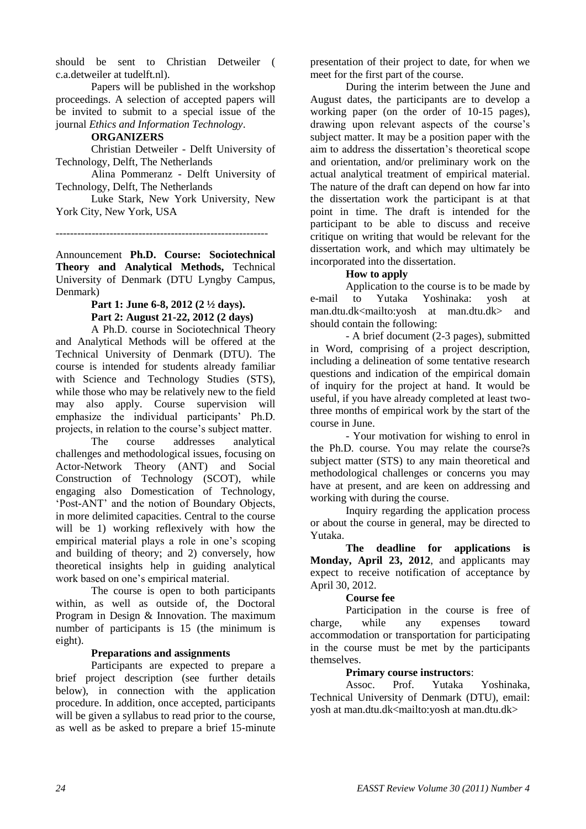should be sent to Christian Detweiler ( c.a.detweiler at tudelft.nl).

Papers will be published in the workshop proceedings. A selection of accepted papers will be invited to submit to a special issue of the journal *Ethics and Information Technology*.

#### **ORGANIZERS**

Christian Detweiler - Delft University of Technology, Delft, The Netherlands

Alina Pommeranz - Delft University of Technology, Delft, The Netherlands

Luke Stark, New York University, New York City, New York, USA

-----------------------------------------------------------

Announcement **Ph.D. Course: Sociotechnical Theory and Analytical Methods,** Technical University of Denmark (DTU Lyngby Campus, Denmark)

#### **Part 1: June 6-8, 2012 (2 ½ days). Part 2: August 21-22, 2012 (2 days)**

A Ph.D. course in Sociotechnical Theory and Analytical Methods will be offered at the Technical University of Denmark (DTU). The course is intended for students already familiar with Science and Technology Studies (STS), while those who may be relatively new to the field may also apply. Course supervision will emphasize the individual participants' Ph.D. projects, in relation to the course"s subject matter.

The course addresses analytical challenges and methodological issues, focusing on Actor-Network Theory (ANT) and Social Construction of Technology (SCOT), while engaging also Domestication of Technology, "Post-ANT" and the notion of Boundary Objects, in more delimited capacities. Central to the course will be 1) working reflexively with how the empirical material plays a role in one"s scoping and building of theory; and 2) conversely, how theoretical insights help in guiding analytical work based on one"s empirical material.

The course is open to both participants within, as well as outside of, the Doctoral Program in Design & Innovation. The maximum number of participants is 15 (the minimum is eight).

#### **Preparations and assignments**

Participants are expected to prepare a brief project description (see further details below), in connection with the application procedure. In addition, once accepted, participants will be given a syllabus to read prior to the course, as well as be asked to prepare a brief 15-minute presentation of their project to date, for when we meet for the first part of the course.

During the interim between the June and August dates, the participants are to develop a working paper (on the order of 10-15 pages), drawing upon relevant aspects of the course's subject matter. It may be a position paper with the aim to address the dissertation"s theoretical scope and orientation, and/or preliminary work on the actual analytical treatment of empirical material. The nature of the draft can depend on how far into the dissertation work the participant is at that point in time. The draft is intended for the participant to be able to discuss and receive critique on writing that would be relevant for the dissertation work, and which may ultimately be incorporated into the dissertation.

#### **How to apply**

Application to the course is to be made by e-mail to Yutaka Yoshinaka: yosh at man.dtu.dk<mailto:yosh at man.dtu.dk> and should contain the following:

- A brief document (2-3 pages), submitted in Word, comprising of a project description, including a delineation of some tentative research questions and indication of the empirical domain of inquiry for the project at hand. It would be useful, if you have already completed at least twothree months of empirical work by the start of the course in June.

- Your motivation for wishing to enrol in the Ph.D. course. You may relate the course?s subject matter (STS) to any main theoretical and methodological challenges or concerns you may have at present, and are keen on addressing and working with during the course.

Inquiry regarding the application process or about the course in general, may be directed to Yutaka.

**The deadline for applications is Monday, April 23, 2012**, and applicants may expect to receive notification of acceptance by April 30, 2012.

#### **Course fee**

Participation in the course is free of charge, while any expenses toward accommodation or transportation for participating in the course must be met by the participants themselves.

#### **Primary course instructors**:

Assoc. Prof. Yutaka Yoshinaka, Technical University of Denmark (DTU), email: yosh at man.dtu.dk<mailto:yosh at man.dtu.dk>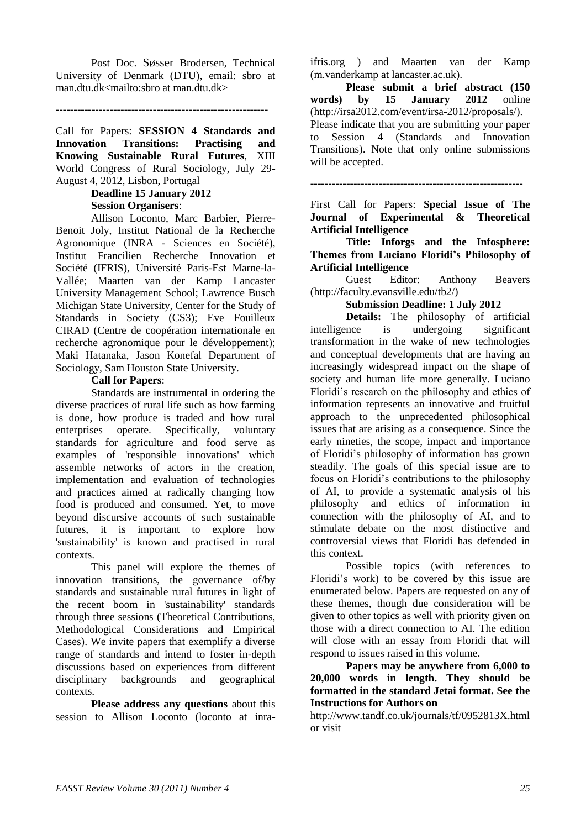Post Doc. Søsser Brodersen, Technical University of Denmark (DTU), email: sbro at man.dtu.dk<mailto:sbro at man.dtu.dk>

-----------------------------------------------------------

Call for Papers: **SESSION 4 Standards and Innovation Transitions: Practising and Knowing Sustainable Rural Futures**, XIII World Congress of Rural Sociology, July 29- August 4, 2012, Lisbon, Portugal

### **Deadline 15 January 2012 Session Organisers**:

Allison Loconto, Marc Barbier, Pierre-Benoit Joly, Institut National de la Recherche Agronomique (INRA - Sciences en Société), Institut Francilien Recherche Innovation et Société (IFRIS), Université Paris-Est Marne-la-Vallée; Maarten van der Kamp Lancaster University Management School; Lawrence Busch Michigan State University, Center for the Study of Standards in Society (CS3); Eve Fouilleux CIRAD (Centre de coopération internationale en recherche agronomique pour le développement); Maki Hatanaka, Jason Konefal Department of Sociology, Sam Houston State University.

#### **Call for Papers**:

Standards are instrumental in ordering the diverse practices of rural life such as how farming is done, how produce is traded and how rural enterprises operate. Specifically, voluntary standards for agriculture and food serve as examples of 'responsible innovations' which assemble networks of actors in the creation, implementation and evaluation of technologies and practices aimed at radically changing how food is produced and consumed. Yet, to move beyond discursive accounts of such sustainable futures, it is important to explore how 'sustainability' is known and practised in rural contexts.

This panel will explore the themes of innovation transitions, the governance of/by standards and sustainable rural futures in light of the recent boom in 'sustainability' standards through three sessions (Theoretical Contributions, Methodological Considerations and Empirical Cases). We invite papers that exemplify a diverse range of standards and intend to foster in-depth discussions based on experiences from different disciplinary backgrounds and geographical contexts.

**Please address any questions** about this session to Allison Loconto (loconto at inraifris.org ) and Maarten van der Kamp (m.vanderkamp at lancaster.ac.uk).

**Please submit a brief abstract (150 words) by 15 January 2012** online (http://irsa2012.com/event/irsa-2012/proposals/).

Please indicate that you are submitting your paper to Session 4 (Standards and Innovation Transitions). Note that only online submissions will be accepted.

-----------------------------------------------------------

First Call for Papers: **Special Issue of The Journal of Experimental & Theoretical Artificial Intelligence**

#### **Title: Inforgs and the Infosphere: Themes from Luciano Floridi's Philosophy of Artificial Intelligence**

Guest Editor: Anthony Beavers (http://faculty.evansville.edu/tb2/)

#### **Submission Deadline: 1 July 2012**

**Details:** The philosophy of artificial intelligence is undergoing significant transformation in the wake of new technologies and conceptual developments that are having an increasingly widespread impact on the shape of society and human life more generally. Luciano Floridi"s research on the philosophy and ethics of information represents an innovative and fruitful approach to the unprecedented philosophical issues that are arising as a consequence. Since the early nineties, the scope, impact and importance of Floridi"s philosophy of information has grown steadily. The goals of this special issue are to focus on Floridi"s contributions to the philosophy of AI, to provide a systematic analysis of his philosophy and ethics of information in connection with the philosophy of AI, and to stimulate debate on the most distinctive and controversial views that Floridi has defended in this context.

Possible topics (with references to Floridi"s work) to be covered by this issue are enumerated below. Papers are requested on any of these themes, though due consideration will be given to other topics as well with priority given on those with a direct connection to AI. The edition will close with an essay from Floridi that will respond to issues raised in this volume.

**Papers may be anywhere from 6,000 to 20,000 words in length. They should be formatted in the standard Jetai format. See the Instructions for Authors on**

http://www.tandf.co.uk/journals/tf/0952813X.html or visit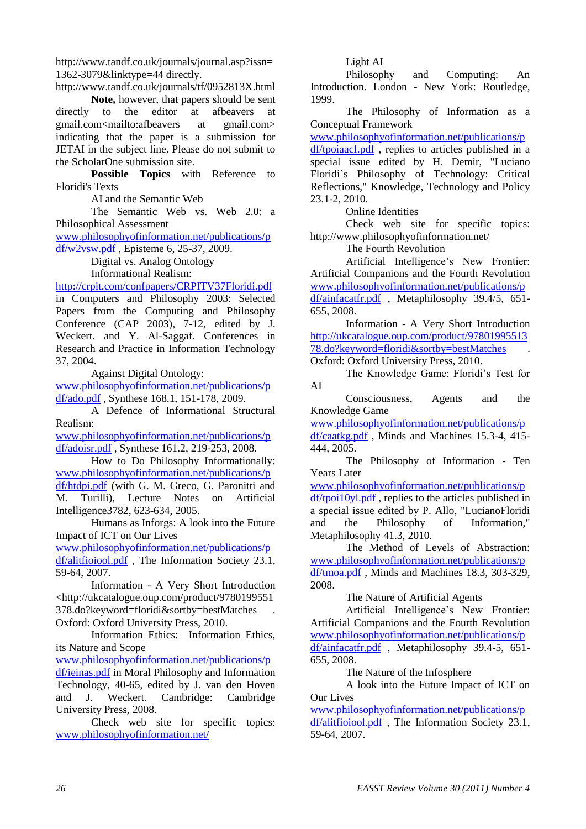http://www.tandf.co.uk/journals/journal.asp?issn= 1362-3079&linktype=44 directly.

http://www.tandf.co.uk/journals/tf/0952813X.html

**Note,** however, that papers should be sent directly to the editor at afbeavers at gmail.com<mailto:afbeavers at gmail.com> indicating that the paper is a submission for JETAI in the subject line. Please do not submit to the ScholarOne submission site.

**Possible Topics** with Reference to Floridi's Texts

AI and the Semantic Web

The Semantic Web vs. Web 2.0: a Philosophical Assessment

[www.philosophyofinformation.net/publications/p](http://www.philosophyofinformation.net/publications/pdf/w2vsw.pdf) [df/w2vsw.pdf](http://www.philosophyofinformation.net/publications/pdf/w2vsw.pdf) , Episteme 6, 25-37, 2009.

Digital vs. Analog Ontology

Informational Realism:

<http://crpit.com/confpapers/CRPITV37Floridi.pdf> in Computers and Philosophy 2003: Selected Papers from the Computing and Philosophy Conference (CAP 2003), 7-12, edited by J. Weckert. and Y. Al-Saggaf. Conferences in Research and Practice in Information Technology 37, 2004.

Against Digital Ontology:

[www.philosophyofinformation.net/publications/p](http://www.philosophyofinformation.net/publications/pdf/ado.pdf) [df/ado.pdf](http://www.philosophyofinformation.net/publications/pdf/ado.pdf) , Synthese 168.1, 151-178, 2009.

A Defence of Informational Structural Realism:

[www.philosophyofinformation.net/publications/p](http://www.philosophyofinformation.net/publications/pdf/adoisr.pdf) [df/adoisr.pdf](http://www.philosophyofinformation.net/publications/pdf/adoisr.pdf) , Synthese 161.2, 219-253, 2008.

How to Do Philosophy Informationally: [www.philosophyofinformation.net/publications/p](http://www.philosophyofinformation.net/publications/pdf/htdpi.pdf) [df/htdpi.pdf](http://www.philosophyofinformation.net/publications/pdf/htdpi.pdf) (with G. M. Greco, G. Paronitti and M. Turilli), Lecture Notes on Artificial Intelligence3782, 623-634, 2005.

Humans as Inforgs: A look into the Future Impact of ICT on Our Lives

[www.philosophyofinformation.net/publications/p](http://www.philosophyofinformation.net/publications/pdf/alitfioiool.pdf) [df/alitfioiool.pdf](http://www.philosophyofinformation.net/publications/pdf/alitfioiool.pdf) , The Information Society 23.1, 59-64, 2007.

Information - A Very Short Introduction <http://ukcatalogue.oup.com/product/9780199551 378.do?keyword=floridi&sortby=bestMatches . Oxford: Oxford University Press, 2010.

Information Ethics: Information Ethics, its Nature and Scope

[www.philosophyofinformation.net/publications/p](http://www.philosophyofinformation.net/publications/pdf/ieinas.pdf) [df/ieinas.pdf](http://www.philosophyofinformation.net/publications/pdf/ieinas.pdf) in Moral Philosophy and Information Technology, 40-65, edited by J. van den Hoven and J. Weckert. Cambridge: Cambridge University Press, 2008.

Check web site for specific topics: [www.philosophyofinformation.net/](http://www.philosophyofinformation.net/)

Light AI

Philosophy and Computing: An Introduction. London - New York: Routledge, 1999.

The Philosophy of Information as a Conceptual Framework

[www.philosophyofinformation.net/publications/p](http://www.philosophyofinformation.net/publications/pdf/tpoiaacf.pdf)

[df/tpoiaacf.pdf](http://www.philosophyofinformation.net/publications/pdf/tpoiaacf.pdf) , replies to articles published in a special issue edited by H. Demir, "Luciano Floridi`s Philosophy of Technology: Critical Reflections," Knowledge, Technology and Policy 23.1-2, 2010.

Online Identities

Check web site for specific topics: http://www.philosophyofinformation.net/

The Fourth Revolution

Artificial Intelligence"s New Frontier: Artificial Companions and the Fourth Revolution [www.philosophyofinformation.net/publications/p](http://www.philosophyofinformation.net/publications/pdf/ainfacatfr.pdf) [df/ainfacatfr.pdf](http://www.philosophyofinformation.net/publications/pdf/ainfacatfr.pdf) , Metaphilosophy 39.4/5, 651- 655, 2008.

Information - A Very Short Introduction [http://ukcatalogue.oup.com/product/97801995513](http://ukcatalogue.oup.com/product/9780199551378.do?keyword=floridi&sortby=bestMatches) [78.do?keyword=floridi&sortby=bestMatches](http://ukcatalogue.oup.com/product/9780199551378.do?keyword=floridi&sortby=bestMatches) .

Oxford: Oxford University Press, 2010.

The Knowledge Game: Floridi's Test for AI

Consciousness, Agents and the Knowledge Game

[www.philosophyofinformation.net/publications/p](http://www.philosophyofinformation.net/publications/pdf/caatkg.pdf)

[df/caatkg.pdf](http://www.philosophyofinformation.net/publications/pdf/caatkg.pdf) , Minds and Machines 15.3-4, 415- 444, 2005.

The Philosophy of Information - Ten Years Later

[www.philosophyofinformation.net/publications/p](http://www.philosophyofinformation.net/publications/pdf/tpoi10yl.pdf) [df/tpoi10yl.pdf](http://www.philosophyofinformation.net/publications/pdf/tpoi10yl.pdf) , replies to the articles published in a special issue edited by P. Allo, "LucianoFloridi and the Philosophy of Information," Metaphilosophy 41.3, 2010.

The Method of Levels of Abstraction: [www.philosophyofinformation.net/publications/p](http://www.philosophyofinformation.net/publications/pdf/tmoa.pdf) [df/tmoa.pdf](http://www.philosophyofinformation.net/publications/pdf/tmoa.pdf) , Minds and Machines 18.3, 303-329, 2008.

The Nature of Artificial Agents

Artificial Intelligence's New Frontier: Artificial Companions and the Fourth Revolution [www.philosophyofinformation.net/publications/p](http://www.philosophyofinformation.net/publications/pdf/ainfacatfr.pdf) [df/ainfacatfr.pdf](http://www.philosophyofinformation.net/publications/pdf/ainfacatfr.pdf) , Metaphilosophy 39.4-5, 651- 655, 2008.

The Nature of the Infosphere

A look into the Future Impact of ICT on Our Lives

[www.philosophyofinformation.net/publications/p](http://www.philosophyofinformation.net/publications/pdf/alitfioiool.pdf) [df/alitfioiool.pdf](http://www.philosophyofinformation.net/publications/pdf/alitfioiool.pdf) , The Information Society 23.1, 59-64, 2007.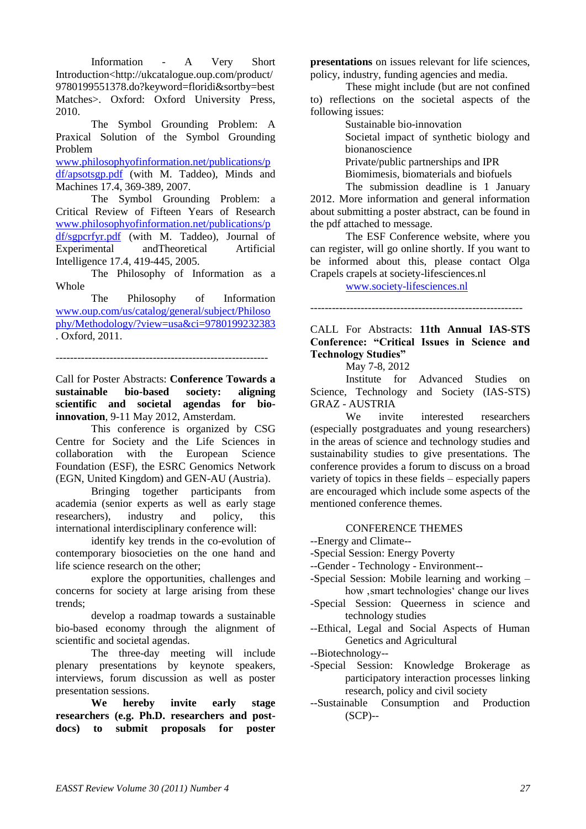Information - A Very Short Introduction<http://ukcatalogue.oup.com/product/ 9780199551378.do?keyword=floridi&sortby=best Matches>. Oxford: Oxford University Press, 2010.

The Symbol Grounding Problem: A Praxical Solution of the Symbol Grounding Problem

[www.philosophyofinformation.net/publications/p](http://www.philosophyofinformation.net/publications/pdf/apsotsgp.pdf) [df/apsotsgp.pdf](http://www.philosophyofinformation.net/publications/pdf/apsotsgp.pdf) (with M. Taddeo), Minds and Machines 17.4, 369-389, 2007.

The Symbol Grounding Problem: a Critical Review of Fifteen Years of Research [www.philosophyofinformation.net/publications/p](http://www.philosophyofinformation.net/publications/pdf/sgpcrfyr.pdf) [df/sgpcrfyr.pdf](http://www.philosophyofinformation.net/publications/pdf/sgpcrfyr.pdf) (with M. Taddeo), Journal of Experimental andTheoretical Artificial Intelligence 17.4, 419-445, 2005.

The Philosophy of Information as a Whole

The Philosophy of Information [www.oup.com/us/catalog/general/subject/Philoso](http://www.oup.com/us/catalog/general/subject/Philosophy/Methodology/?view=usa&ci=9780199232383) [phy/Methodology/?view=usa&ci=9780199232383](http://www.oup.com/us/catalog/general/subject/Philosophy/Methodology/?view=usa&ci=9780199232383) . Oxford, 2011.

-----------------------------------------------------------

Call for Poster Abstracts: **Conference Towards a sustainable bio-based society: aligning scientific and societal agendas for bioinnovation**, 9-11 May 2012, Amsterdam.

This conference is organized by CSG Centre for Society and the Life Sciences in collaboration with the European Science Foundation (ESF), the ESRC Genomics Network (EGN, United Kingdom) and GEN-AU (Austria).

Bringing together participants from academia (senior experts as well as early stage researchers), industry and policy, this international interdisciplinary conference will:

identify key trends in the co-evolution of contemporary biosocieties on the one hand and life science research on the other;

explore the opportunities, challenges and concerns for society at large arising from these trends;

develop a roadmap towards a sustainable bio-based economy through the alignment of scientific and societal agendas.

The three-day meeting will include plenary presentations by keynote speakers, interviews, forum discussion as well as poster presentation sessions.

**We hereby invite early stage researchers (e.g. Ph.D. researchers and postdocs) to submit proposals for poster** 

**presentations** on issues relevant for life sciences, policy, industry, funding agencies and media.

These might include (but are not confined to) reflections on the societal aspects of the following issues:

Sustainable bio-innovation

Societal impact of synthetic biology and bionanoscience

Private/public partnerships and IPR

Biomimesis, biomaterials and biofuels

The submission deadline is 1 January 2012. More information and general information about submitting a poster abstract, can be found in the pdf attached to message.

The ESF Conference website, where you can register, will go online shortly. If you want to be informed about this, please contact Olga Crapels crapels at society-lifesciences.nl

[www.society-lifesciences.nl](http://www.society-lifesciences.nl/)

-----------------------------------------------------------

CALL For Abstracts: **11th Annual IAS-STS Conference: "Critical Issues in Science and Technology Studies"**

May 7-8, 2012

Institute for Advanced Studies on Science, Technology and Society (IAS-STS) GRAZ - AUSTRIA

We invite interested researchers (especially postgraduates and young researchers) in the areas of science and technology studies and sustainability studies to give presentations. The conference provides a forum to discuss on a broad variety of topics in these fields – especially papers are encouraged which include some aspects of the mentioned conference themes.

#### CONFERENCE THEMES

--Energy and Climate--

- -Special Session: Energy Poverty
- --Gender Technology Environment--

-Special Session: Mobile learning and working – how smart technologies' change our lives

- -Special Session: Queerness in science and technology studies
- --Ethical, Legal and Social Aspects of Human Genetics and Agricultural

--Biotechnology--

- -Special Session: Knowledge Brokerage as participatory interaction processes linking research, policy and civil society
- --Sustainable Consumption and Production (SCP)--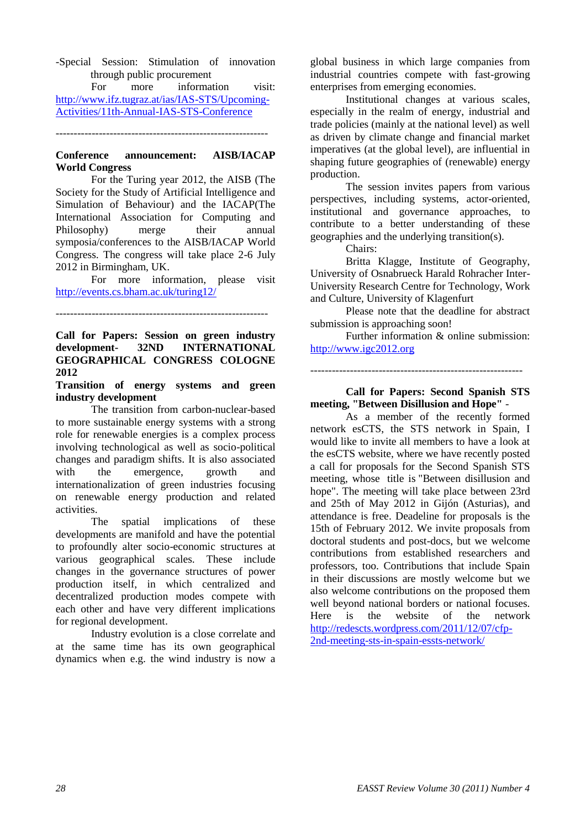-Special Session: Stimulation of innovation through public procurement

For more information visit: [http://www.ifz.tugraz.at/ias/IAS-STS/Upcoming-](http://www.ifz.tugraz.at/ias/IAS-STS/Upcoming-Activities/11th-Annual-IAS-STS-Conference)[Activities/11th-Annual-IAS-STS-Conference](http://www.ifz.tugraz.at/ias/IAS-STS/Upcoming-Activities/11th-Annual-IAS-STS-Conference)

-----------------------------------------------------------

#### **Conference announcement: AISB/IACAP World Congress**

For the Turing year 2012, the AISB (The Society for the Study of Artificial Intelligence and Simulation of Behaviour) and the IACAP(The International Association for Computing and Philosophy) merge their annual symposia/conferences to the AISB/IACAP World Congress. The congress will take place 2-6 July 2012 in Birmingham, UK.

For more information, please visit <http://events.cs.bham.ac.uk/turing12/>

-----------------------------------------------------------

#### **Call for Papers: Session on green industry development- 32ND INTERNATIONAL GEOGRAPHICAL CONGRESS COLOGNE 2012**

#### **Transition of energy systems and green industry development**

The transition from carbon-nuclear-based to more sustainable energy systems with a strong role for renewable energies is a complex process involving technological as well as socio-political changes and paradigm shifts. It is also associated with the emergence, growth and internationalization of green industries focusing on renewable energy production and related activities.

The spatial implications of these developments are manifold and have the potential to profoundly alter socio-economic structures at various geographical scales. These include changes in the governance structures of power production itself, in which centralized and decentralized production modes compete with each other and have very different implications for regional development.

Industry evolution is a close correlate and at the same time has its own geographical dynamics when e.g. the wind industry is now a global business in which large companies from industrial countries compete with fast-growing enterprises from emerging economies.

Institutional changes at various scales, especially in the realm of energy, industrial and trade policies (mainly at the national level) as well as driven by climate change and financial market imperatives (at the global level), are influential in shaping future geographies of (renewable) energy production.

The session invites papers from various perspectives, including systems, actor-oriented, institutional and governance approaches, to contribute to a better understanding of these geographies and the underlying transition(s).

Chairs:

Britta Klagge, Institute of Geography, University of Osnabrueck Harald Rohracher Inter-University Research Centre for Technology, Work and Culture, University of Klagenfurt

Please note that the deadline for abstract submission is approaching soon!

Further information & online submission: [http://www.igc2012.org](http://www.igc2012.org/)

-----------------------------------------------------------

#### **Call for Papers: Second Spanish STS meeting, "Between Disillusion and Hope"** -

As a member of the recently formed network esCTS, the STS network in Spain, I would like to invite all members to have a look at the esCTS website, where we have recently posted a call for proposals for the Second Spanish STS meeting, whose title is "Between disillusion and hope". The meeting will take place between 23rd and 25th of May 2012 in Gijón (Asturias), and attendance is free. Deadeline for proposals is the 15th of February 2012. We invite proposals from doctoral students and post-docs, but we welcome contributions from established researchers and professors, too. Contributions that include Spain in their discussions are mostly welcome but we also welcome contributions on the proposed them well beyond national borders or national focuses. Here is the website of the network [http://redescts.wordpress.com/2011/12/07/cfp-](http://redescts.wordpress.com/2011/12/07/cfp-2nd-meeting-sts-in-spain-essts-network/)[2nd-meeting-sts-in-spain-essts-network/](http://redescts.wordpress.com/2011/12/07/cfp-2nd-meeting-sts-in-spain-essts-network/)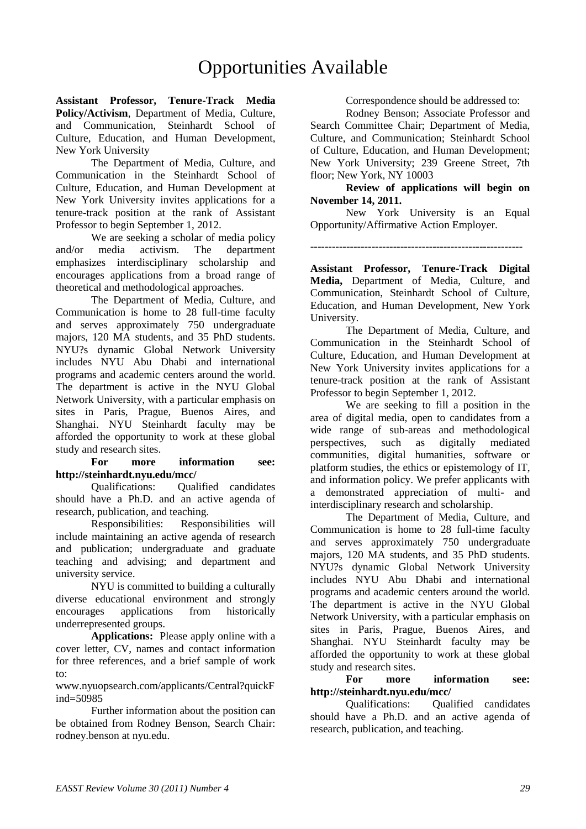## Opportunities Available

**Assistant Professor, Tenure-Track Media Policy/Activism**, Department of Media, Culture, and Communication, Steinhardt School of Culture, Education, and Human Development, New York University

The Department of Media, Culture, and Communication in the Steinhardt School of Culture, Education, and Human Development at New York University invites applications for a tenure-track position at the rank of Assistant Professor to begin September 1, 2012.

We are seeking a scholar of media policy and/or media activism. The department emphasizes interdisciplinary scholarship and encourages applications from a broad range of theoretical and methodological approaches.

The Department of Media, Culture, and Communication is home to 28 full-time faculty and serves approximately 750 undergraduate majors, 120 MA students, and 35 PhD students. NYU?s dynamic Global Network University includes NYU Abu Dhabi and international programs and academic centers around the world. The department is active in the NYU Global Network University, with a particular emphasis on sites in Paris, Prague, Buenos Aires, and Shanghai. NYU Steinhardt faculty may be afforded the opportunity to work at these global study and research sites.

**For more information see: http://steinhardt.nyu.edu/mcc/**

Qualifications: Qualified candidates should have a Ph.D. and an active agenda of research, publication, and teaching.

Responsibilities: Responsibilities will include maintaining an active agenda of research and publication; undergraduate and graduate teaching and advising; and department and university service.

NYU is committed to building a culturally diverse educational environment and strongly encourages applications from historically underrepresented groups.

**Applications:** Please apply online with a cover letter, CV, names and contact information for three references, and a brief sample of work to:

www.nyuopsearch.com/applicants/Central?quickF ind=50985

Further information about the position can be obtained from Rodney Benson, Search Chair: rodney.benson at nyu.edu.

Correspondence should be addressed to:

Rodney Benson; Associate Professor and Search Committee Chair; Department of Media, Culture, and Communication; Steinhardt School of Culture, Education, and Human Development; New York University; 239 Greene Street, 7th floor; New York, NY 10003

**Review of applications will begin on November 14, 2011.**

New York University is an Equal Opportunity/Affirmative Action Employer.

-----------------------------------------------------------

**Assistant Professor, Tenure-Track Digital Media,** Department of Media, Culture, and Communication, Steinhardt School of Culture, Education, and Human Development, New York University.

The Department of Media, Culture, and Communication in the Steinhardt School of Culture, Education, and Human Development at New York University invites applications for a tenure-track position at the rank of Assistant Professor to begin September 1, 2012.

We are seeking to fill a position in the area of digital media, open to candidates from a wide range of sub-areas and methodological perspectives, such as digitally mediated communities, digital humanities, software or platform studies, the ethics or epistemology of IT, and information policy. We prefer applicants with a demonstrated appreciation of multi- and interdisciplinary research and scholarship.

The Department of Media, Culture, and Communication is home to 28 full-time faculty and serves approximately 750 undergraduate majors, 120 MA students, and 35 PhD students. NYU?s dynamic Global Network University includes NYU Abu Dhabi and international programs and academic centers around the world. The department is active in the NYU Global Network University, with a particular emphasis on sites in Paris, Prague, Buenos Aires, and Shanghai. NYU Steinhardt faculty may be afforded the opportunity to work at these global study and research sites.

#### **For more information see: http://steinhardt.nyu.edu/mcc/**

Qualifications: Qualified candidates should have a Ph.D. and an active agenda of research, publication, and teaching.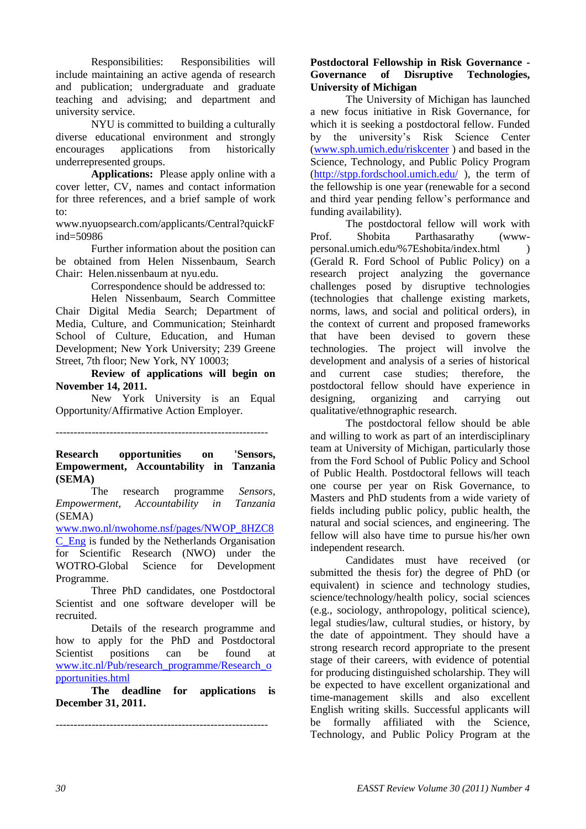Responsibilities: Responsibilities will include maintaining an active agenda of research and publication; undergraduate and graduate teaching and advising; and department and university service.

NYU is committed to building a culturally diverse educational environment and strongly encourages applications from historically underrepresented groups.

**Applications:** Please apply online with a cover letter, CV, names and contact information for three references, and a brief sample of work to:

www.nyuopsearch.com/applicants/Central?quickF ind=50986

Further information about the position can be obtained from Helen Nissenbaum, Search Chair: Helen.nissenbaum at nyu.edu.

Correspondence should be addressed to:

Helen Nissenbaum, Search Committee Chair Digital Media Search; Department of Media, Culture, and Communication; Steinhardt School of Culture, Education, and Human Development; New York University; 239 Greene Street, 7th floor; New York, NY 10003;

**Review of applications will begin on November 14, 2011.**

New York University is an Equal Opportunity/Affirmative Action Employer.

-----------------------------------------------------------

**Research opportunities on 'Sensors, Empowerment, Accountability in Tanzania (SEMA)**

The research programme *Sensors, Empowerment, Accountability in Tanzania* (SEMA)

[www.nwo.nl/nwohome.nsf/pages/NWOP\\_8HZC8](http://www.nwo.nl/nwohome.nsf/pages/NWOP_8HZC8C_Eng) [C\\_Eng](http://www.nwo.nl/nwohome.nsf/pages/NWOP_8HZC8C_Eng) is funded by the Netherlands Organisation for Scientific Research (NWO) under the WOTRO-Global Science for Development Programme.

Three PhD candidates, one Postdoctoral Scientist and one software developer will be recruited.

Details of the research programme and how to apply for the PhD and Postdoctoral Scientist positions can be found at [www.itc.nl/Pub/research\\_programme/Research\\_o](http://www.itc.nl/Pub/research_programme/Research_opportunities.html) [pportunities.html](http://www.itc.nl/Pub/research_programme/Research_opportunities.html)

**The deadline for applications is December 31, 2011.**

-----------------------------------------------------------

#### **Postdoctoral Fellowship in Risk Governance - Governance of Disruptive Technologies, University of Michigan**

The University of Michigan has launched a new focus initiative in Risk Governance, for which it is seeking a postdoctoral fellow. Funded by the university"s Risk Science Center [\(www.sph.umich.edu/riskcenter](http://www.sph.umich.edu/riskcenter) ) and based in the Science, Technology, and Public Policy Program [\(http://stpp.fordschool.umich.edu/](http://stpp.fordschool.umich.edu/) ), the term of the fellowship is one year (renewable for a second and third year pending fellow"s performance and funding availability).

The postdoctoral fellow will work with Prof. Shobita Parthasarathy (wwwpersonal.umich.edu/%7Eshobita/index.html ) (Gerald R. Ford School of Public Policy) on a research project analyzing the governance challenges posed by disruptive technologies (technologies that challenge existing markets, norms, laws, and social and political orders), in the context of current and proposed frameworks that have been devised to govern these technologies. The project will involve the development and analysis of a series of historical and current case studies; therefore, the postdoctoral fellow should have experience in designing, organizing and carrying out qualitative/ethnographic research.

The postdoctoral fellow should be able and willing to work as part of an interdisciplinary team at University of Michigan, particularly those from the Ford School of Public Policy and School of Public Health. Postdoctoral fellows will teach one course per year on Risk Governance, to Masters and PhD students from a wide variety of fields including public policy, public health, the natural and social sciences, and engineering. The fellow will also have time to pursue his/her own independent research.

Candidates must have received (or submitted the thesis for) the degree of PhD (or equivalent) in science and technology studies, science/technology/health policy, social sciences (e.g., sociology, anthropology, political science), legal studies/law, cultural studies, or history, by the date of appointment. They should have a strong research record appropriate to the present stage of their careers, with evidence of potential for producing distinguished scholarship. They will be expected to have excellent organizational and time-management skills and also excellent English writing skills. Successful applicants will be formally affiliated with the Science, Technology, and Public Policy Program at the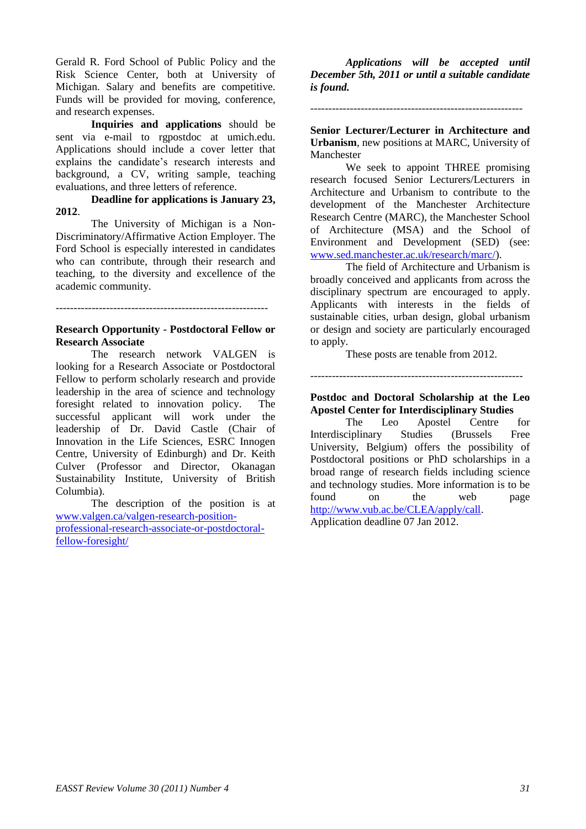Gerald R. Ford School of Public Policy and the Risk Science Center, both at University of Michigan. Salary and benefits are competitive. Funds will be provided for moving, conference, and research expenses.

**Inquiries and applications** should be sent via e-mail to rgpostdoc at umich.edu. Applications should include a cover letter that explains the candidate's research interests and background, a CV, writing sample, teaching evaluations, and three letters of reference.

#### **Deadline for applications is January 23, 2012**.

The University of Michigan is a Non-Discriminatory/Affirmative Action Employer. The Ford School is especially interested in candidates who can contribute, through their research and teaching, to the diversity and excellence of the academic community.

-----------------------------------------------------------

#### **Research Opportunity - Postdoctoral Fellow or Research Associate**

The research network VALGEN is looking for a Research Associate or Postdoctoral Fellow to perform scholarly research and provide leadership in the area of science and technology foresight related to innovation policy. The successful applicant will work under the leadership of Dr. David Castle (Chair of Innovation in the Life Sciences, ESRC Innogen Centre, University of Edinburgh) and Dr. Keith Culver (Professor and Director, Okanagan Sustainability Institute, University of British Columbia).

The description of the position is at [www.valgen.ca/valgen-research-position](http://www.valgen.ca/valgen-research-position-professional-research-associate-or-postdoctoral-fellow-foresight/)[professional-research-associate-or-postdoctoral](http://www.valgen.ca/valgen-research-position-professional-research-associate-or-postdoctoral-fellow-foresight/)[fellow-foresight/](http://www.valgen.ca/valgen-research-position-professional-research-associate-or-postdoctoral-fellow-foresight/)

*Applications will be accepted until December 5th, 2011 or until a suitable candidate is found.*

-----------------------------------------------------------

**Senior Lecturer/Lecturer in Architecture and Urbanism**, new positions at MARC, University of Manchester

We seek to appoint THREE promising research focused Senior Lecturers/Lecturers in Architecture and Urbanism to contribute to the development of the Manchester Architecture Research Centre (MARC), the Manchester School of Architecture (MSA) and the School of Environment and Development (SED) (see: [www.sed.manchester.ac.uk/research/marc/\)](http://www.sed.manchester.ac.uk/research/marc/).

The field of Architecture and Urbanism is broadly conceived and applicants from across the disciplinary spectrum are encouraged to apply. Applicants with interests in the fields of sustainable cities, urban design, global urbanism or design and society are particularly encouraged to apply.

These posts are tenable from 2012.

-----------------------------------------------------------

## **Postdoc and Doctoral Scholarship at the Leo**

**Apostel Center for Interdisciplinary Studies** The Leo Apostel Centre for Interdisciplinary Studies (Brussels Free University, Belgium) offers the possibility of Postdoctoral positions or PhD scholarships in a broad range of research fields including science and technology studies. More information is to be found on the web page [http://www.vub.ac.be/CLEA/apply/call.](http://www.vub.ac.be/CLEA/apply/call) Application deadline 07 Jan 2012.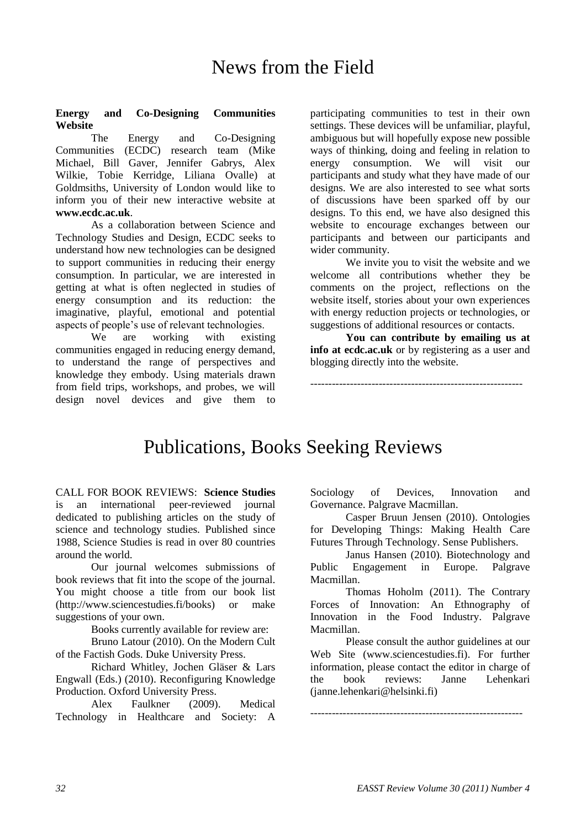#### **Energy and Co-Designing Communities Website**

The Energy and Co-Designing Communities (ECDC) research team (Mike Michael, Bill Gaver, Jennifer Gabrys, Alex Wilkie, Tobie Kerridge, Liliana Ovalle) at Goldmsiths, University of London would like to inform you of their new interactive website at **www.ecdc.ac.uk**.

As a collaboration between Science and Technology Studies and Design, ECDC seeks to understand how new technologies can be designed to support communities in reducing their energy consumption. In particular, we are interested in getting at what is often neglected in studies of energy consumption and its reduction: the imaginative, playful, emotional and potential aspects of people"s use of relevant technologies.

We are working with existing communities engaged in reducing energy demand, to understand the range of perspectives and knowledge they embody. Using materials drawn from field trips, workshops, and probes, we will design novel devices and give them to participating communities to test in their own settings. These devices will be unfamiliar, playful, ambiguous but will hopefully expose new possible ways of thinking, doing and feeling in relation to energy consumption. We will visit our participants and study what they have made of our designs. We are also interested to see what sorts of discussions have been sparked off by our designs. To this end, we have also designed this website to encourage exchanges between our participants and between our participants and wider community.

We invite you to visit the website and we welcome all contributions whether they be comments on the project, reflections on the website itself, stories about your own experiences with energy reduction projects or technologies, or suggestions of additional resources or contacts.

**You can contribute by emailing us at info at ecdc.ac.uk** or by registering as a user and blogging directly into the website.

-----------------------------------------------------------

## Publications, Books Seeking Reviews

CALL FOR BOOK REVIEWS: **Science Studies** is an international peer-reviewed journal dedicated to publishing articles on the study of science and technology studies. Published since 1988, Science Studies is read in over 80 countries around the world.

Our journal welcomes submissions of book reviews that fit into the scope of the journal. You might choose a title from our book list (http://www.sciencestudies.fi/books) or make suggestions of your own.

Books currently available for review are:

Bruno Latour (2010). On the Modern Cult of the Factish Gods. Duke University Press.

Richard Whitley, Jochen Gläser & Lars Engwall (Eds.) (2010). Reconfiguring Knowledge Production. Oxford University Press.

Alex Faulkner (2009). Medical Technology in Healthcare and Society: A Sociology of Devices, Innovation and Governance. Palgrave Macmillan.

Casper Bruun Jensen (2010). Ontologies for Developing Things: Making Health Care Futures Through Technology. Sense Publishers.

Janus Hansen (2010). Biotechnology and Public Engagement in Europe. Palgrave Macmillan.

Thomas Hoholm (2011). The Contrary Forces of Innovation: An Ethnography of Innovation in the Food Industry. Palgrave Macmillan.

Please consult the author guidelines at our Web Site (www.sciencestudies.fi). For further information, please contact the editor in charge of the book reviews: Janne Lehenkari (janne.lehenkari@helsinki.fi)

-----------------------------------------------------------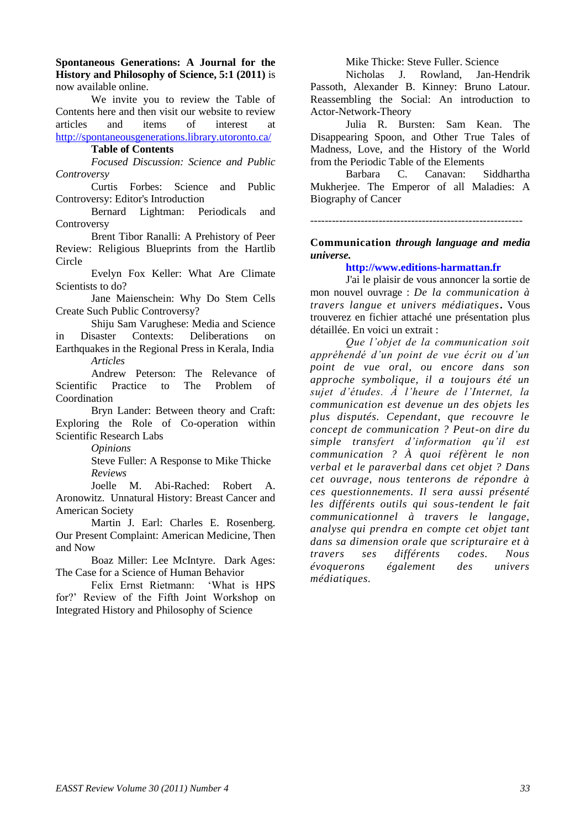#### **Spontaneous Generations: A Journal for the History and Philosophy of Science, 5:1 (2011)** is now available online.

We invite you to review the Table of Contents here and then visit our website to review articles and items of interest at <http://spontaneousgenerations.library.utoronto.ca/>

#### **Table of Contents**

*Focused Discussion: Science and Public Controversy*

Curtis Forbes: Science and Public Controversy: Editor's Introduction

Bernard Lightman: Periodicals and **Controversy** 

Brent Tibor Ranalli: A Prehistory of Peer Review: Religious Blueprints from the Hartlib Circle

Evelyn Fox Keller: What Are Climate Scientists to do?

Jane Maienschein: Why Do Stem Cells Create Such Public Controversy?

Shiju Sam Varughese: Media and Science in Disaster Contexts: Deliberations on Earthquakes in the Regional Press in Kerala, India *Articles*

Andrew Peterson: The Relevance of

Scientific Practice to The Problem of Coordination

Bryn Lander: Between theory and Craft: Exploring the Role of Co-operation within Scientific Research Labs

*Opinions*

Steve Fuller: A Response to Mike Thicke *Reviews*

Joelle M. Abi-Rached: Robert A. Aronowitz. Unnatural History: Breast Cancer and American Society

Martin J. Earl: Charles E. Rosenberg. Our Present Complaint: American Medicine, Then and Now

Boaz Miller: Lee McIntyre. Dark Ages: The Case for a Science of Human Behavior

Felix Ernst Rietmann: "What is HPS for?" Review of the Fifth Joint Workshop on Integrated History and Philosophy of Science

#### Mike Thicke: Steve Fuller. Science

Nicholas J. Rowland, Jan-Hendrik Passoth, Alexander B. Kinney: Bruno Latour. Reassembling the Social: An introduction to Actor-Network-Theory

Julia R. Bursten: Sam Kean. The Disappearing Spoon, and Other True Tales of Madness, Love, and the History of the World from the Periodic Table of the Elements

Barbara C. Canavan: Siddhartha Mukherjee. The Emperor of all Maladies: A Biography of Cancer

-----------------------------------------------------------

#### **Communication** *through language and media universe.*

#### **http://www.editions-harmattan.fr**

J'ai le plaisir de vous annoncer la sortie de mon nouvel ouvrage : *De la communication à travers langue et univers médiatiques***.** Vous trouverez en fichier attaché une présentation plus détaillée. En voici un extrait :

*Que l'objet de la communication soit appréhendé d'un point de vue écrit ou d'un point de vue oral, ou encore dans son approche symbolique, il a toujours été un sujet d'études. À l'heure de l'Internet, la communication est devenue un des objets les plus disputés. Cependant, que recouvre le concept de communication ? Peut-on dire du simple transfert d'information qu'il est communication ? À quoi réfèrent le non verbal et le paraverbal dans cet objet ? Dans cet ouvrage, nous tenterons de répondre à ces questionnements. Il sera aussi présenté les différents outils qui sous-tendent le fait communicationnel à travers le langage, analyse qui prendra en compte cet objet tant dans sa dimension orale que scripturaire et à travers ses différents codes. Nous évoquerons également des univers médiatiques.*